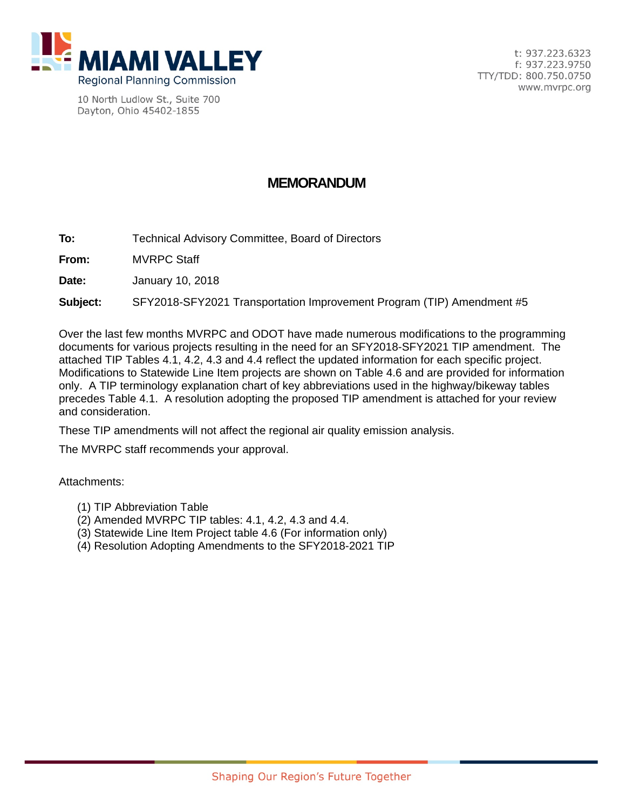

10 North Ludlow St., Suite 700 Dayton, Ohio 45402-1855

# **MEMORANDUM**

**To:** Technical Advisory Committee, Board of Directors

**From:** MVRPC Staff

**Date:** January 10, 2018

**Subject:** SFY2018-SFY2021 Transportation Improvement Program (TIP) Amendment #5

Over the last few months MVRPC and ODOT have made numerous modifications to the programming documents for various projects resulting in the need for an SFY2018-SFY2021 TIP amendment. The attached TIP Tables 4.1, 4.2, 4.3 and 4.4 reflect the updated information for each specific project. Modifications to Statewide Line Item projects are shown on Table 4.6 and are provided for information only. A TIP terminology explanation chart of key abbreviations used in the highway/bikeway tables precedes Table 4.1. A resolution adopting the proposed TIP amendment is attached for your review and consideration.

These TIP amendments will not affect the regional air quality emission analysis.

The MVRPC staff recommends your approval.

Attachments:

- (1) TIP Abbreviation Table
- (2) Amended MVRPC TIP tables: 4.1, 4.2, 4.3 and 4.4.
- (3) Statewide Line Item Project table 4.6 (For information only)
- (4) Resolution Adopting Amendments to the SFY2018-2021 TIP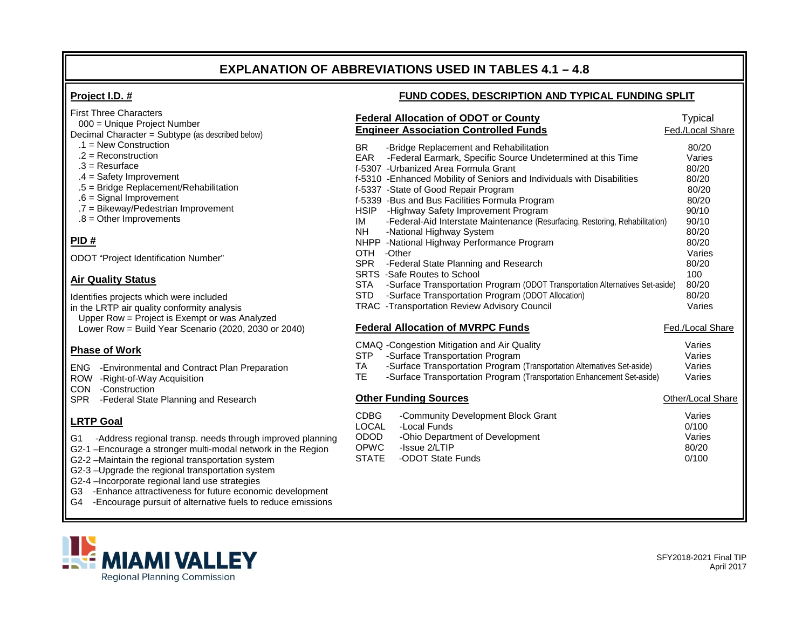# **EXPLANATION OF ABBREVIATIONS USED IN TABLES 4.1 – 4.8**

# **Project I.D. #**

### **FUND CODES, DESCRIPTION AND TYPICAL FUNDING SPLIT**

|                   |                                                                                                                   | <b>Federal Allocation of ODOT or County</b><br><b>Engineer Association Controlled Funds</b>                                                                                                                                                                                                                                                                                                                                                                                                                                                                                                                                                                                                                                                                                       | <b>Typical</b><br>Fed./Local Share                                                                                                            |
|-------------------|-------------------------------------------------------------------------------------------------------------------|-----------------------------------------------------------------------------------------------------------------------------------------------------------------------------------------------------------------------------------------------------------------------------------------------------------------------------------------------------------------------------------------------------------------------------------------------------------------------------------------------------------------------------------------------------------------------------------------------------------------------------------------------------------------------------------------------------------------------------------------------------------------------------------|-----------------------------------------------------------------------------------------------------------------------------------------------|
|                   | <b>BR</b><br><b>EAR</b><br><b>HSIP</b><br>IM<br><b>NH</b><br>OTH -Other<br><b>SPR</b><br><b>STA</b><br><b>STD</b> | -Bridge Replacement and Rehabilitation<br>-Federal Earmark, Specific Source Undetermined at this Time<br>f-5307 - Urbanized Area Formula Grant<br>f-5310 - Enhanced Mobility of Seniors and Individuals with Disabilities<br>f-5337 - State of Good Repair Program<br>f-5339 -Bus and Bus Facilities Formula Program<br>-Highway Safety Improvement Program<br>-Federal-Aid Interstate Maintenance (Resurfacing, Restoring, Rehabilitation)<br>-National Highway System<br>NHPP -National Highway Performance Program<br>-Federal State Planning and Research<br>SRTS -Safe Routes to School<br>-Surface Transportation Program (ODOT Transportation Alternatives Set-aside)<br>-Surface Transportation Program (ODOT Allocation)<br>TRAC -Transportation Review Advisory Council | 80/20<br>Varies<br>80/20<br>80/20<br>80/20<br>80/20<br>90/10<br>90/10<br>80/20<br>80/20<br>Varies<br>80/20<br>100<br>80/20<br>80/20<br>Varies |
|                   |                                                                                                                   | <b>Federal Allocation of MVRPC Funds</b>                                                                                                                                                                                                                                                                                                                                                                                                                                                                                                                                                                                                                                                                                                                                          | Fed./Local Share                                                                                                                              |
|                   | <b>STP</b><br><b>TA</b><br>TE.                                                                                    | CMAQ - Congestion Mitigation and Air Quality<br>-Surface Transportation Program<br>-Surface Transportation Program (Transportation Alternatives Set-aside)<br>-Surface Transportation Program (Transportation Enhancement Set-aside)                                                                                                                                                                                                                                                                                                                                                                                                                                                                                                                                              | Varies<br>Varies<br>Varies<br>Varies                                                                                                          |
|                   |                                                                                                                   | <b>Other Funding Sources</b>                                                                                                                                                                                                                                                                                                                                                                                                                                                                                                                                                                                                                                                                                                                                                      | Other/Local Share                                                                                                                             |
| blanning<br>egion | <b>CDBG</b><br><b>LOCAL</b><br>ODOD<br><b>OPWC</b><br><b>STATE</b>                                                | -Community Development Block Grant<br>-Local Funds<br>-Ohio Department of Development<br>-Issue 2/LTIP<br>-ODOT State Funds                                                                                                                                                                                                                                                                                                                                                                                                                                                                                                                                                                                                                                                       | Varies<br>0/100<br>Varies<br>80/20<br>0/100                                                                                                   |
| oment<br>issions  |                                                                                                                   |                                                                                                                                                                                                                                                                                                                                                                                                                                                                                                                                                                                                                                                                                                                                                                                   |                                                                                                                                               |

First Three Characters

- 000 = Unique Project Number
- Decimal Character = Subtype (as described below)
- .1 = New Construction  $.2$  = Reconstruction
- 
- .3 = Resurface
- .4 = Safety Improvement
- .5 = Bridge Replacement/Rehabilitation
- .6 = Signal Improvement
- .7 = Bikeway/Pedestrian Improvement
- .8 = Other Improvements

# **PID #**

ODOT "Project Identification Number"

### **Air Quality Status**

Identifies projects which were included

in the LRTP air quality conformity analysis Upper Row = Project is Exempt or was Analyzed Lower Row = Build Year Scenario (2020, 2030 or 2040)

# **Phase of Work**

- ENG -Environmental and Contract Plan Preparation
- ROW -Right-of-Way Acquisition
- CON -Construction
- SPR -Federal State Planning and Research

# **LRTP Goal**

- G1 -Address regional transp. needs through improved p
- G2-1 –Encourage a stronger multi-modal network in the R
- G2-2 –Maintain the regional transportation system
- G2-3 –Upgrade the regional transportation system
- G2-4 –Incorporate regional land use strategies
- G3 -Enhance attractiveness for future economic develop
- G4 -Encourage pursuit of alternative fuels to reduce emi

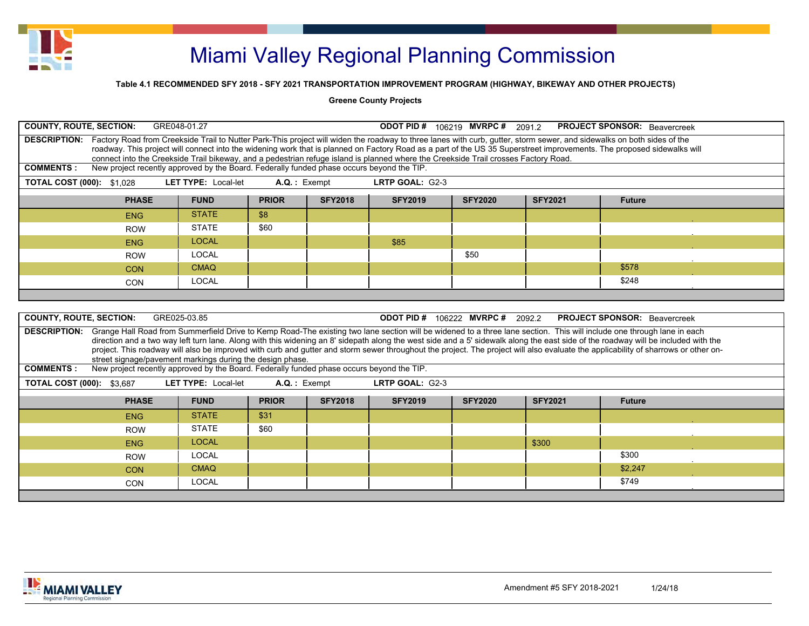

### **Table 4.1 RECOMMENDED SFY 2018 - SFY 2021 TRANSPORTATION IMPROVEMENT PROGRAM (HIGHWAY, BIKEWAY AND OTHER PROJECTS)**

#### **Greene County Projects**

|                                                                                                                                      | <b>COUNTY, ROUTE, SECTION:</b><br>GRE048-01.27<br><b>ODOT PID # 106219 MVRPC # 2091.2</b><br><b>PROJECT SPONSOR:</b> Beavercreek |                            |              |                |                                                                                                                                     |                |                |                                                                                                                                                                                                                                                                                                                                                                                                                                                                                                                                                                 |  |  |  |  |  |
|--------------------------------------------------------------------------------------------------------------------------------------|----------------------------------------------------------------------------------------------------------------------------------|----------------------------|--------------|----------------|-------------------------------------------------------------------------------------------------------------------------------------|----------------|----------------|-----------------------------------------------------------------------------------------------------------------------------------------------------------------------------------------------------------------------------------------------------------------------------------------------------------------------------------------------------------------------------------------------------------------------------------------------------------------------------------------------------------------------------------------------------------------|--|--|--|--|--|
|                                                                                                                                      |                                                                                                                                  |                            |              |                | connect into the Creekside Trail bikeway, and a pedestrian refuge island is planned where the Creekside Trail crosses Factory Road. |                |                | DESCRIPTION: Factory Road from Creekside Trail to Nutter Park-This project will widen the roadway to three lanes with curb, qutter, storm sewer, and sidewalks on both sides of the<br>roadway. This project will connect into the widening work that is planned on Factory Road as a part of the US 35 Superstreet improvements. The proposed sidewalks will                                                                                                                                                                                                   |  |  |  |  |  |
| <b>COMMENTS:</b>                                                                                                                     | New project recently approved by the Board. Federally funded phase occurs beyond the TIP.                                        |                            |              |                |                                                                                                                                     |                |                |                                                                                                                                                                                                                                                                                                                                                                                                                                                                                                                                                                 |  |  |  |  |  |
| <b>TOTAL COST (000): \$1,028</b>                                                                                                     |                                                                                                                                  | <b>LET TYPE: Local-let</b> | A.Q.: Exempt |                | LRTP GOAL: G2-3                                                                                                                     |                |                |                                                                                                                                                                                                                                                                                                                                                                                                                                                                                                                                                                 |  |  |  |  |  |
| <b>SFY2018</b><br><b>SFY2019</b><br><b>PHASE</b><br><b>FUND</b><br><b>PRIOR</b><br><b>SFY2021</b><br><b>SFY2020</b><br><b>Future</b> |                                                                                                                                  |                            |              |                |                                                                                                                                     |                |                |                                                                                                                                                                                                                                                                                                                                                                                                                                                                                                                                                                 |  |  |  |  |  |
|                                                                                                                                      | <b>ENG</b>                                                                                                                       | <b>STATE</b>               | \$8          |                |                                                                                                                                     |                |                |                                                                                                                                                                                                                                                                                                                                                                                                                                                                                                                                                                 |  |  |  |  |  |
|                                                                                                                                      | <b>ROW</b>                                                                                                                       | <b>STATE</b>               | \$60         |                |                                                                                                                                     |                |                |                                                                                                                                                                                                                                                                                                                                                                                                                                                                                                                                                                 |  |  |  |  |  |
|                                                                                                                                      | <b>ENG</b>                                                                                                                       | <b>LOCAL</b>               |              |                | \$85                                                                                                                                |                |                |                                                                                                                                                                                                                                                                                                                                                                                                                                                                                                                                                                 |  |  |  |  |  |
|                                                                                                                                      | <b>ROW</b>                                                                                                                       | <b>LOCAL</b>               |              |                |                                                                                                                                     | \$50           |                |                                                                                                                                                                                                                                                                                                                                                                                                                                                                                                                                                                 |  |  |  |  |  |
|                                                                                                                                      | \$578<br><b>CMAQ</b><br><b>CON</b>                                                                                               |                            |              |                |                                                                                                                                     |                |                |                                                                                                                                                                                                                                                                                                                                                                                                                                                                                                                                                                 |  |  |  |  |  |
|                                                                                                                                      | \$248<br><b>LOCAL</b><br><b>CON</b>                                                                                              |                            |              |                |                                                                                                                                     |                |                |                                                                                                                                                                                                                                                                                                                                                                                                                                                                                                                                                                 |  |  |  |  |  |
|                                                                                                                                      |                                                                                                                                  |                            |              |                |                                                                                                                                     |                |                |                                                                                                                                                                                                                                                                                                                                                                                                                                                                                                                                                                 |  |  |  |  |  |
|                                                                                                                                      |                                                                                                                                  |                            |              |                |                                                                                                                                     |                |                |                                                                                                                                                                                                                                                                                                                                                                                                                                                                                                                                                                 |  |  |  |  |  |
| <b>COUNTY, ROUTE, SECTION:</b>                                                                                                       |                                                                                                                                  | GRE025-03.85               |              |                | <b>ODOT PID # 106222 MVRPC # 2092.2</b>                                                                                             |                |                | <b>PROJECT SPONSOR:</b> Beavercreek                                                                                                                                                                                                                                                                                                                                                                                                                                                                                                                             |  |  |  |  |  |
|                                                                                                                                      | street signage/pavement markings during the design phase.                                                                        |                            |              |                |                                                                                                                                     |                |                | DESCRIPTION: Grange Hall Road from Summerfield Drive to Kemp Road-The existing two lane section will be widened to a three lane section. This will include one through lane in each<br>direction and a two way left turn lane. Along with this widening an 8' sidepath along the west side and a 5' sidewalk along the east side of the roadway will be included with the<br>project. This roadway will also be improved with curb and gutter and storm sewer throughout the project. The project will also evaluate the applicability of sharrows or other on- |  |  |  |  |  |
| <b>COMMENTS:</b>                                                                                                                     | New project recently approved by the Board. Federally funded phase occurs beyond the TIP.                                        |                            |              |                |                                                                                                                                     |                |                |                                                                                                                                                                                                                                                                                                                                                                                                                                                                                                                                                                 |  |  |  |  |  |
| <b>TOTAL COST (000): \$3,687</b>                                                                                                     |                                                                                                                                  | <b>LET TYPE: Local-let</b> | A.Q.: Exempt |                | LRTP GOAL: G2-3                                                                                                                     |                |                |                                                                                                                                                                                                                                                                                                                                                                                                                                                                                                                                                                 |  |  |  |  |  |
|                                                                                                                                      | <b>PHASE</b>                                                                                                                     | <b>FUND</b>                | <b>PRIOR</b> | <b>SFY2018</b> | <b>SFY2019</b>                                                                                                                      | <b>SFY2020</b> | <b>SFY2021</b> | <b>Future</b>                                                                                                                                                                                                                                                                                                                                                                                                                                                                                                                                                   |  |  |  |  |  |
|                                                                                                                                      | <b>ENG</b>                                                                                                                       | <b>STATE</b>               | \$31         |                |                                                                                                                                     |                |                |                                                                                                                                                                                                                                                                                                                                                                                                                                                                                                                                                                 |  |  |  |  |  |
|                                                                                                                                      | <b>ROW</b>                                                                                                                       | <b>STATE</b>               | \$60         |                |                                                                                                                                     |                |                |                                                                                                                                                                                                                                                                                                                                                                                                                                                                                                                                                                 |  |  |  |  |  |
|                                                                                                                                      | <b>ENG</b>                                                                                                                       | <b>LOCAL</b>               |              |                |                                                                                                                                     |                | \$300          |                                                                                                                                                                                                                                                                                                                                                                                                                                                                                                                                                                 |  |  |  |  |  |
|                                                                                                                                      | <b>ROW</b>                                                                                                                       | <b>LOCAL</b>               |              |                |                                                                                                                                     |                |                | \$300                                                                                                                                                                                                                                                                                                                                                                                                                                                                                                                                                           |  |  |  |  |  |
|                                                                                                                                      | <b>CON</b>                                                                                                                       | <b>CMAQ</b>                |              |                |                                                                                                                                     |                |                | \$2,247                                                                                                                                                                                                                                                                                                                                                                                                                                                                                                                                                         |  |  |  |  |  |
|                                                                                                                                      | <b>CON</b>                                                                                                                       | <b>LOCAL</b>               |              |                |                                                                                                                                     |                |                | \$749                                                                                                                                                                                                                                                                                                                                                                                                                                                                                                                                                           |  |  |  |  |  |
|                                                                                                                                      |                                                                                                                                  |                            |              |                |                                                                                                                                     |                |                |                                                                                                                                                                                                                                                                                                                                                                                                                                                                                                                                                                 |  |  |  |  |  |

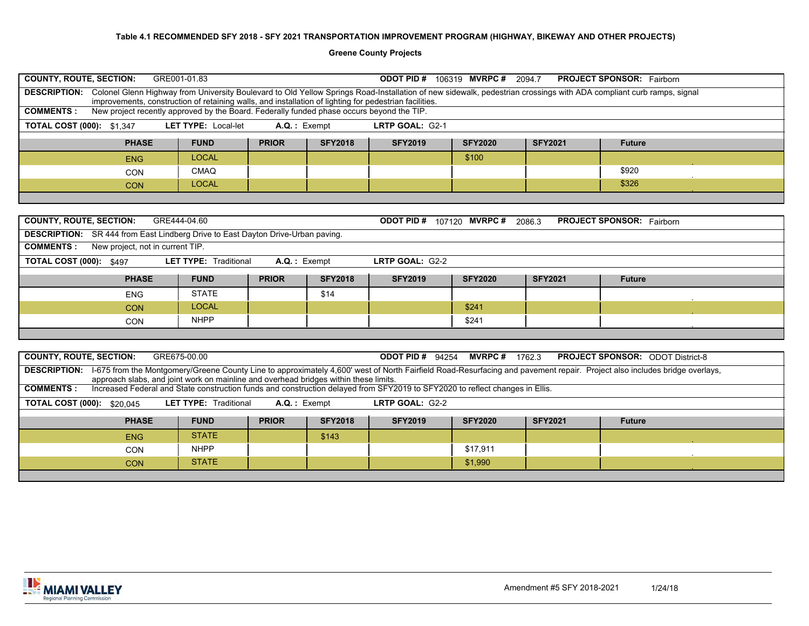**Greene County Projects**

| <b>COUNTY, ROUTE, SECTION:</b>    |                                                                                                                                                                                                                      | GRE001-01.83                 |                 |                | <b>ODOT PID # 106319 MVRPC # 2094.7</b> |                        |                | <b>PROJECT SPONSOR:</b> Fairborn                                                                                                                                                       |  |
|-----------------------------------|----------------------------------------------------------------------------------------------------------------------------------------------------------------------------------------------------------------------|------------------------------|-----------------|----------------|-----------------------------------------|------------------------|----------------|----------------------------------------------------------------------------------------------------------------------------------------------------------------------------------------|--|
|                                   | improvements, construction of retaining walls, and installation of lighting for pedestrian facilities.                                                                                                               |                              |                 |                |                                         |                        |                | DESCRIPTION: Colonel Glenn Highway from University Boulevard to Old Yellow Springs Road-Installation of new sidewalk, pedestrian crossings with ADA compliant curb ramps, signal       |  |
| <b>COMMENTS:</b>                  | New project recently approved by the Board. Federally funded phase occurs beyond the TIP.                                                                                                                            |                              |                 |                |                                         |                        |                |                                                                                                                                                                                        |  |
| <b>TOTAL COST (000): \$1,347</b>  |                                                                                                                                                                                                                      | LET TYPE: Local-let          | $A.Q.$ : Exempt |                | LRTP GOAL: G2-1                         |                        |                |                                                                                                                                                                                        |  |
|                                   | <b>PHASE</b>                                                                                                                                                                                                         | <b>FUND</b>                  | <b>PRIOR</b>    | <b>SFY2018</b> | <b>SFY2019</b>                          | <b>SFY2020</b>         | <b>SFY2021</b> | <b>Future</b>                                                                                                                                                                          |  |
|                                   | <b>ENG</b>                                                                                                                                                                                                           | <b>LOCAL</b>                 |                 |                |                                         | \$100                  |                |                                                                                                                                                                                        |  |
|                                   | CON                                                                                                                                                                                                                  | <b>CMAQ</b>                  |                 |                |                                         |                        |                | \$920                                                                                                                                                                                  |  |
|                                   | <b>CON</b>                                                                                                                                                                                                           | <b>LOCAL</b>                 |                 |                |                                         |                        |                | \$326                                                                                                                                                                                  |  |
|                                   |                                                                                                                                                                                                                      |                              |                 |                |                                         |                        |                |                                                                                                                                                                                        |  |
|                                   |                                                                                                                                                                                                                      |                              |                 |                |                                         |                        |                |                                                                                                                                                                                        |  |
| <b>COUNTY, ROUTE, SECTION:</b>    |                                                                                                                                                                                                                      | GRE444-04.60                 |                 |                | <b>ODOT PID # 107120 MVRPC # 2086.3</b> |                        |                | <b>PROJECT SPONSOR:</b> Fairborn                                                                                                                                                       |  |
|                                   | <b>DESCRIPTION:</b> SR 444 from East Lindberg Drive to East Dayton Drive-Urban paving.                                                                                                                               |                              |                 |                |                                         |                        |                |                                                                                                                                                                                        |  |
| <b>COMMENTS:</b>                  | New project, not in current TIP.                                                                                                                                                                                     |                              |                 |                |                                         |                        |                |                                                                                                                                                                                        |  |
| <b>TOTAL COST (000): \$497</b>    |                                                                                                                                                                                                                      | <b>LET TYPE: Traditional</b> | $A.Q.$ : Exempt |                | LRTP GOAL: G2-2                         |                        |                |                                                                                                                                                                                        |  |
|                                   |                                                                                                                                                                                                                      |                              |                 |                |                                         |                        |                |                                                                                                                                                                                        |  |
|                                   | <b>PHASE</b>                                                                                                                                                                                                         | <b>FUND</b>                  | <b>PRIOR</b>    | <b>SFY2018</b> | <b>SFY2019</b>                          | <b>SFY2020</b>         | <b>SFY2021</b> | <b>Future</b>                                                                                                                                                                          |  |
|                                   | <b>ENG</b>                                                                                                                                                                                                           | <b>STATE</b>                 |                 | \$14           |                                         |                        |                |                                                                                                                                                                                        |  |
|                                   | <b>CON</b>                                                                                                                                                                                                           | <b>LOCAL</b>                 |                 |                |                                         | \$241                  |                |                                                                                                                                                                                        |  |
|                                   | <b>CON</b>                                                                                                                                                                                                           | <b>NHPP</b>                  |                 |                |                                         | \$241                  |                |                                                                                                                                                                                        |  |
|                                   |                                                                                                                                                                                                                      |                              |                 |                |                                         |                        |                |                                                                                                                                                                                        |  |
|                                   |                                                                                                                                                                                                                      |                              |                 |                |                                         |                        |                |                                                                                                                                                                                        |  |
| <b>COUNTY, ROUTE, SECTION:</b>    |                                                                                                                                                                                                                      | GRE675-00.00                 |                 |                | <b>ODOT PID # 94254</b>                 | <b>MVRPC#</b> $1762.3$ |                | <b>PROJECT SPONSOR: ODOT District-8</b>                                                                                                                                                |  |
|                                   |                                                                                                                                                                                                                      |                              |                 |                |                                         |                        |                | DESCRIPTION: I-675 from the Montgomery/Greene County Line to approximately 4,600' west of North Fairfield Road-Resurfacing and pavement repair. Project also includes bridge overlays, |  |
| <b>COMMENTS:</b>                  | approach slabs, and joint work on mainline and overhead bridges within these limits.<br>Increased Federal and State construction funds and construction delayed from SFY2019 to SFY2020 to reflect changes in Ellis. |                              |                 |                |                                         |                        |                |                                                                                                                                                                                        |  |
| <b>TOTAL COST (000): \$20,045</b> |                                                                                                                                                                                                                      | <b>LET TYPE: Traditional</b> | $A.Q.$ : Exempt |                | LRTP GOAL: G2-2                         |                        |                |                                                                                                                                                                                        |  |
|                                   |                                                                                                                                                                                                                      |                              |                 |                |                                         |                        |                |                                                                                                                                                                                        |  |
|                                   | <b>PHASE</b>                                                                                                                                                                                                         | <b>FUND</b>                  | <b>PRIOR</b>    | <b>SFY2018</b> | <b>SFY2019</b>                          | <b>SFY2020</b>         | <b>SFY2021</b> | <b>Future</b>                                                                                                                                                                          |  |
|                                   | <b>ENG</b>                                                                                                                                                                                                           | <b>STATE</b>                 |                 | \$143          |                                         |                        |                |                                                                                                                                                                                        |  |
|                                   | CON<br><b>CON</b>                                                                                                                                                                                                    | <b>NHPP</b><br><b>STATE</b>  |                 |                |                                         | \$17,911<br>\$1.990    |                |                                                                                                                                                                                        |  |

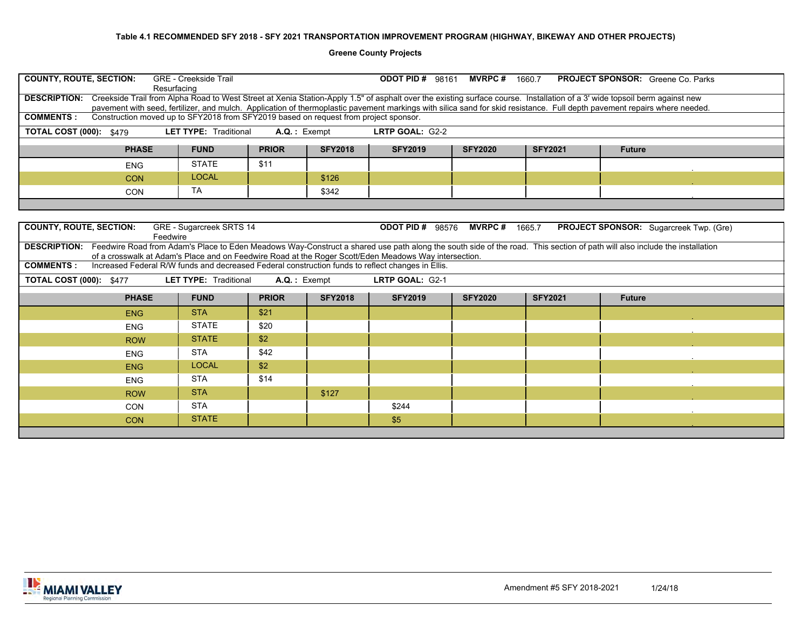**Greene County Projects**

| <b>COUNTY, ROUTE, SECTION:</b>                                                                                                                                                         | <b>GRE - Creekside Trail</b><br>Resurfacing                                                                                                                                                                                                                                                                                                                                                                                                                                      |                                                                |                 | <b>ODOT PID # 98161 MVRPC #</b> |                | 1660.7         | <b>PROJECT SPONSOR:</b> Greene Co. Parks |                                                                                                   |  |  |  |  |  |  |  |  |  |  |  |
|----------------------------------------------------------------------------------------------------------------------------------------------------------------------------------------|----------------------------------------------------------------------------------------------------------------------------------------------------------------------------------------------------------------------------------------------------------------------------------------------------------------------------------------------------------------------------------------------------------------------------------------------------------------------------------|----------------------------------------------------------------|-----------------|---------------------------------|----------------|----------------|------------------------------------------|---------------------------------------------------------------------------------------------------|--|--|--|--|--|--|--|--|--|--|--|
|                                                                                                                                                                                        | DESCRIPTION: Creekside Trail from Alpha Road to West Street at Xenia Station-Apply 1.5" of asphalt over the existing surface course. Installation of a 3' wide topsoil berm against new<br>pavement with seed, fertilizer, and mulch. Application of thermoplastic pavement markings with silica sand for skid resistance. Full depth pavement repairs where needed.<br>Construction moved up to SFY2018 from SFY2019 based on request from project sponsor.<br><b>COMMENTS:</b> |                                                                |                 |                                 |                |                |                                          |                                                                                                   |  |  |  |  |  |  |  |  |  |  |  |
|                                                                                                                                                                                        |                                                                                                                                                                                                                                                                                                                                                                                                                                                                                  |                                                                |                 |                                 |                |                |                                          |                                                                                                   |  |  |  |  |  |  |  |  |  |  |  |
| <b>TOTAL COST (000): \$479</b>                                                                                                                                                         | <b>LET TYPE: Traditional</b>                                                                                                                                                                                                                                                                                                                                                                                                                                                     |                                                                | $A.Q.$ : Exempt | LRTP GOAL: G2-2                 |                |                |                                          |                                                                                                   |  |  |  |  |  |  |  |  |  |  |  |
|                                                                                                                                                                                        | <b>PHASE</b><br><b>FUND</b>                                                                                                                                                                                                                                                                                                                                                                                                                                                      | <b>PRIOR</b>                                                   | <b>SFY2018</b>  | <b>SFY2019</b>                  | <b>SFY2020</b> | <b>SFY2021</b> | <b>Future</b>                            |                                                                                                   |  |  |  |  |  |  |  |  |  |  |  |
| <b>ENG</b>                                                                                                                                                                             | <b>STATE</b>                                                                                                                                                                                                                                                                                                                                                                                                                                                                     | \$11                                                           |                 |                                 |                |                |                                          |                                                                                                   |  |  |  |  |  |  |  |  |  |  |  |
| <b>CON</b>                                                                                                                                                                             | <b>LOCAL</b>                                                                                                                                                                                                                                                                                                                                                                                                                                                                     |                                                                | \$126           |                                 |                |                |                                          |                                                                                                   |  |  |  |  |  |  |  |  |  |  |  |
|                                                                                                                                                                                        | <b>TA</b><br><b>CON</b>                                                                                                                                                                                                                                                                                                                                                                                                                                                          |                                                                | \$342           |                                 |                |                |                                          |                                                                                                   |  |  |  |  |  |  |  |  |  |  |  |
|                                                                                                                                                                                        |                                                                                                                                                                                                                                                                                                                                                                                                                                                                                  |                                                                |                 |                                 |                |                |                                          |                                                                                                   |  |  |  |  |  |  |  |  |  |  |  |
|                                                                                                                                                                                        |                                                                                                                                                                                                                                                                                                                                                                                                                                                                                  |                                                                |                 |                                 |                |                |                                          |                                                                                                   |  |  |  |  |  |  |  |  |  |  |  |
| <b>COUNTY, ROUTE, SECTION:</b><br><b>ODOT PID # 98576</b><br><b>MVRPC#</b><br>GRE - Sugarcreek SRTS 14<br>1665.7<br><b>PROJECT SPONSOR:</b> Sugarcreek Twp. (Gre)<br>Feedwire          |                                                                                                                                                                                                                                                                                                                                                                                                                                                                                  |                                                                |                 |                                 |                |                |                                          |                                                                                                   |  |  |  |  |  |  |  |  |  |  |  |
| DESCRIPTION: Feedwire Road from Adam's Place to Eden Meadows Way-Construct a shared use path along the south side of the road. This section of path will also include the installation | of a crosswalk at Adam's Place and on Feedwire Road at the Roger Scott/Eden Meadows Way intersection.                                                                                                                                                                                                                                                                                                                                                                            |                                                                |                 |                                 |                |                |                                          |                                                                                                   |  |  |  |  |  |  |  |  |  |  |  |
| <b>COMMENTS:</b>                                                                                                                                                                       |                                                                                                                                                                                                                                                                                                                                                                                                                                                                                  |                                                                |                 |                                 |                |                |                                          |                                                                                                   |  |  |  |  |  |  |  |  |  |  |  |
| <b>TOTAL COST (000): \$477</b>                                                                                                                                                         | <b>LET TYPE: Traditional</b>                                                                                                                                                                                                                                                                                                                                                                                                                                                     |                                                                |                 | LRTP GOAL: G2-1                 |                |                |                                          | Increased Federal R/W funds and decreased Federal construction funds to reflect changes in Ellis. |  |  |  |  |  |  |  |  |  |  |  |
|                                                                                                                                                                                        | <b>FUND</b>                                                                                                                                                                                                                                                                                                                                                                                                                                                                      | A.Q.: Exempt<br><b>SFY2018</b><br><b>PHASE</b><br><b>PRIOR</b> |                 |                                 |                |                |                                          |                                                                                                   |  |  |  |  |  |  |  |  |  |  |  |
| <b>ENG</b>                                                                                                                                                                             |                                                                                                                                                                                                                                                                                                                                                                                                                                                                                  |                                                                |                 | <b>SFY2019</b>                  | <b>SFY2020</b> | <b>SFY2021</b> | <b>Future</b>                            |                                                                                                   |  |  |  |  |  |  |  |  |  |  |  |
|                                                                                                                                                                                        | <b>STA</b>                                                                                                                                                                                                                                                                                                                                                                                                                                                                       | \$21                                                           |                 |                                 |                |                |                                          |                                                                                                   |  |  |  |  |  |  |  |  |  |  |  |
| <b>ENG</b>                                                                                                                                                                             | <b>STATE</b>                                                                                                                                                                                                                                                                                                                                                                                                                                                                     | \$20                                                           |                 |                                 |                |                |                                          |                                                                                                   |  |  |  |  |  |  |  |  |  |  |  |
|                                                                                                                                                                                        | <b>STATE</b><br><b>ROW</b>                                                                                                                                                                                                                                                                                                                                                                                                                                                       | \$2                                                            |                 |                                 |                |                |                                          |                                                                                                   |  |  |  |  |  |  |  |  |  |  |  |
| <b>ENG</b>                                                                                                                                                                             | <b>STA</b>                                                                                                                                                                                                                                                                                                                                                                                                                                                                       | \$42                                                           |                 |                                 |                |                |                                          |                                                                                                   |  |  |  |  |  |  |  |  |  |  |  |
| <b>ENG</b>                                                                                                                                                                             | <b>LOCAL</b>                                                                                                                                                                                                                                                                                                                                                                                                                                                                     | \$2                                                            |                 |                                 |                |                |                                          |                                                                                                   |  |  |  |  |  |  |  |  |  |  |  |
| <b>ENG</b>                                                                                                                                                                             | <b>STA</b>                                                                                                                                                                                                                                                                                                                                                                                                                                                                       | \$14                                                           |                 |                                 |                |                |                                          |                                                                                                   |  |  |  |  |  |  |  |  |  |  |  |
|                                                                                                                                                                                        | <b>STA</b><br><b>ROW</b>                                                                                                                                                                                                                                                                                                                                                                                                                                                         |                                                                | \$127           |                                 |                |                |                                          |                                                                                                   |  |  |  |  |  |  |  |  |  |  |  |
| <b>CON</b>                                                                                                                                                                             | <b>STA</b>                                                                                                                                                                                                                                                                                                                                                                                                                                                                       |                                                                |                 | \$244                           |                |                |                                          |                                                                                                   |  |  |  |  |  |  |  |  |  |  |  |
| <b>CON</b>                                                                                                                                                                             | <b>STATE</b>                                                                                                                                                                                                                                                                                                                                                                                                                                                                     |                                                                |                 | \$5                             |                |                |                                          |                                                                                                   |  |  |  |  |  |  |  |  |  |  |  |

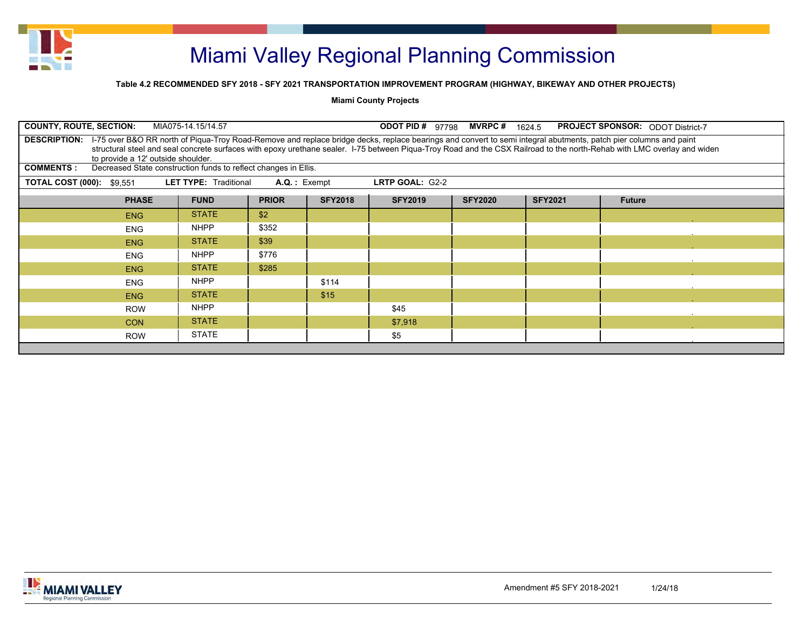

### **Table 4.2 RECOMMENDED SFY 2018 - SFY 2021 TRANSPORTATION IMPROVEMENT PROGRAM (HIGHWAY, BIKEWAY AND OTHER PROJECTS)**

**Miami County Projects**

| <b>COUNTY, ROUTE, SECTION:</b><br>MIA075-14.15/14.57<br><b>ODOT PID #</b><br><b>MVRPC</b> #<br><b>PROJECT SPONSOR: ODOT District-7</b><br>97798<br>1624.5                                                                                                                                                                                                                                                |              |       |       |         |  |  |  |  |  |  |  |  |
|----------------------------------------------------------------------------------------------------------------------------------------------------------------------------------------------------------------------------------------------------------------------------------------------------------------------------------------------------------------------------------------------------------|--------------|-------|-------|---------|--|--|--|--|--|--|--|--|
| I-75 over B&O RR north of Piqua-Troy Road-Remove and replace bridge decks, replace bearings and convert to semi integral abutments, patch pier columns and paint<br><b>DESCRIPTION:</b><br>structural steel and seal concrete surfaces with epoxy urethane sealer. I-75 between Piqua-Troy Road and the CSX Railroad to the north-Rehab with LMC overlay and widen<br>to provide a 12' outside shoulder. |              |       |       |         |  |  |  |  |  |  |  |  |
| Decreased State construction funds to reflect changes in Ellis.<br><b>COMMENTS:</b>                                                                                                                                                                                                                                                                                                                      |              |       |       |         |  |  |  |  |  |  |  |  |
| <b>LET TYPE: Traditional</b><br>$A.Q.:$ Exempt<br>LRTP GOAL: G2-2<br><b>TOTAL COST (000): \$9.551</b>                                                                                                                                                                                                                                                                                                    |              |       |       |         |  |  |  |  |  |  |  |  |
| <b>SFY2018</b><br><b>FUND</b><br><b>PRIOR</b><br><b>SFY2019</b><br><b>PHASE</b><br><b>SFY2020</b><br><b>SFY2021</b><br><b>Future</b>                                                                                                                                                                                                                                                                     |              |       |       |         |  |  |  |  |  |  |  |  |
| <b>STATE</b><br>\$2<br>ENG                                                                                                                                                                                                                                                                                                                                                                               |              |       |       |         |  |  |  |  |  |  |  |  |
| <b>ENG</b>                                                                                                                                                                                                                                                                                                                                                                                               | <b>NHPP</b>  | \$352 |       |         |  |  |  |  |  |  |  |  |
| <b>ENG</b>                                                                                                                                                                                                                                                                                                                                                                                               | <b>STATE</b> | \$39  |       |         |  |  |  |  |  |  |  |  |
| <b>ENG</b>                                                                                                                                                                                                                                                                                                                                                                                               | <b>NHPP</b>  | \$776 |       |         |  |  |  |  |  |  |  |  |
| <b>ENG</b>                                                                                                                                                                                                                                                                                                                                                                                               | <b>STATE</b> | \$285 |       |         |  |  |  |  |  |  |  |  |
| <b>ENG</b>                                                                                                                                                                                                                                                                                                                                                                                               | <b>NHPP</b>  |       | \$114 |         |  |  |  |  |  |  |  |  |
| <b>ENG</b>                                                                                                                                                                                                                                                                                                                                                                                               | <b>STATE</b> |       | \$15  |         |  |  |  |  |  |  |  |  |
| <b>ROW</b>                                                                                                                                                                                                                                                                                                                                                                                               | <b>NHPP</b>  |       |       | \$45    |  |  |  |  |  |  |  |  |
| <b>CON</b>                                                                                                                                                                                                                                                                                                                                                                                               | <b>STATE</b> |       |       | \$7,918 |  |  |  |  |  |  |  |  |
| <b>ROW</b>                                                                                                                                                                                                                                                                                                                                                                                               | <b>STATE</b> |       |       | \$5     |  |  |  |  |  |  |  |  |
|                                                                                                                                                                                                                                                                                                                                                                                                          |              |       |       |         |  |  |  |  |  |  |  |  |

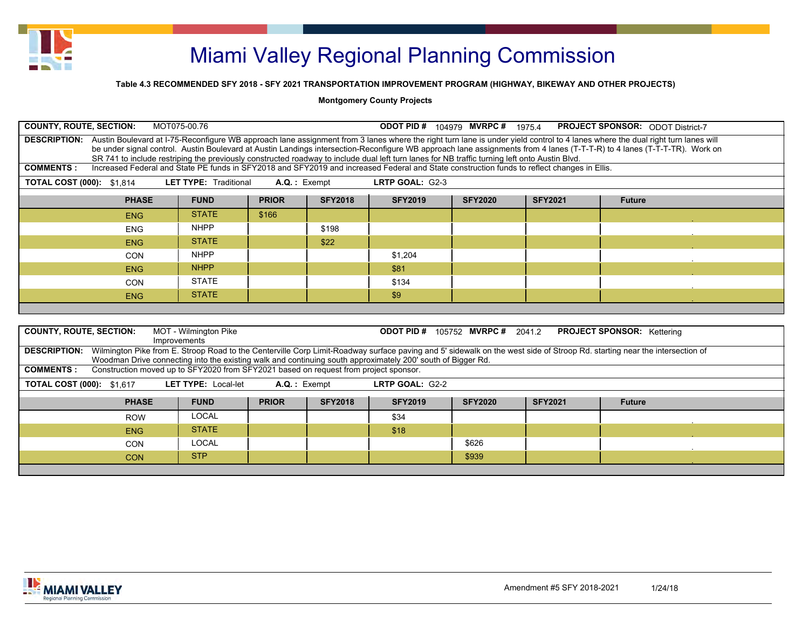

#### **Table 4.3 RECOMMENDED SFY 2018 - SFY 2021 TRANSPORTATION IMPROVEMENT PROGRAM (HIGHWAY, BIKEWAY AND OTHER PROJECTS)**

| <b>COUNTY, ROUTE, SECTION:</b><br>MOT075-00.76<br><b>ODOT PID # 104979 MVRPC # 1975.4</b><br><b>PROJECT SPONSOR: ODOT District-7</b>                                                                                                                                                                                                                                                                                                                                                                                     |                                                                                                             |                                       |                 |                |                                         |                |                |                                                                                                                                                                                        |  |  |  |  |  |
|--------------------------------------------------------------------------------------------------------------------------------------------------------------------------------------------------------------------------------------------------------------------------------------------------------------------------------------------------------------------------------------------------------------------------------------------------------------------------------------------------------------------------|-------------------------------------------------------------------------------------------------------------|---------------------------------------|-----------------|----------------|-----------------------------------------|----------------|----------------|----------------------------------------------------------------------------------------------------------------------------------------------------------------------------------------|--|--|--|--|--|
| DESCRIPTION: Austin Boulevard at I-75-Reconfigure WB approach lane assignment from 3 lanes where the right turn lane is under yield control to 4 lanes where the dual right turn lanes will<br>be under signal control. Austin Boulevard at Austin Landings intersection-Reconfigure WB approach lane assignments from 4 lanes (T-T-T-R) to 4 lanes (T-T-T-TR). Work on<br>SR 741 to include restriping the previously constructed roadway to include dual left turn lanes for NB traffic turning left onto Austin Blvd. |                                                                                                             |                                       |                 |                |                                         |                |                |                                                                                                                                                                                        |  |  |  |  |  |
| <b>COMMENTS:</b><br>Increased Federal and State PE funds in SFY2018 and SFY2019 and increased Federal and State construction funds to reflect changes in Ellis.                                                                                                                                                                                                                                                                                                                                                          |                                                                                                             |                                       |                 |                |                                         |                |                |                                                                                                                                                                                        |  |  |  |  |  |
| <b>LET TYPE: Traditional</b><br><b>TOTAL COST (000): \$1.814</b><br>$A.Q.:$ Exempt<br>LRTP GOAL: G2-3                                                                                                                                                                                                                                                                                                                                                                                                                    |                                                                                                             |                                       |                 |                |                                         |                |                |                                                                                                                                                                                        |  |  |  |  |  |
| <b>SFY2018</b><br><b>PHASE</b><br><b>FUND</b><br><b>PRIOR</b><br><b>SFY2019</b><br><b>SFY2020</b><br><b>SFY2021</b><br><b>Future</b>                                                                                                                                                                                                                                                                                                                                                                                     |                                                                                                             |                                       |                 |                |                                         |                |                |                                                                                                                                                                                        |  |  |  |  |  |
|                                                                                                                                                                                                                                                                                                                                                                                                                                                                                                                          | <b>ENG</b>                                                                                                  | <b>STATE</b>                          | \$166           |                |                                         |                |                |                                                                                                                                                                                        |  |  |  |  |  |
|                                                                                                                                                                                                                                                                                                                                                                                                                                                                                                                          | <b>ENG</b>                                                                                                  | <b>NHPP</b>                           |                 | \$198          |                                         |                |                |                                                                                                                                                                                        |  |  |  |  |  |
|                                                                                                                                                                                                                                                                                                                                                                                                                                                                                                                          | <b>ENG</b>                                                                                                  | <b>STATE</b>                          |                 | \$22           |                                         |                |                |                                                                                                                                                                                        |  |  |  |  |  |
|                                                                                                                                                                                                                                                                                                                                                                                                                                                                                                                          | <b>CON</b>                                                                                                  | <b>NHPP</b>                           |                 |                | \$1,204                                 |                |                |                                                                                                                                                                                        |  |  |  |  |  |
|                                                                                                                                                                                                                                                                                                                                                                                                                                                                                                                          | <b>ENG</b>                                                                                                  | <b>NHPP</b>                           |                 |                | \$81                                    |                |                |                                                                                                                                                                                        |  |  |  |  |  |
|                                                                                                                                                                                                                                                                                                                                                                                                                                                                                                                          | <b>STATE</b><br><b>CON</b><br>\$134                                                                         |                                       |                 |                |                                         |                |                |                                                                                                                                                                                        |  |  |  |  |  |
|                                                                                                                                                                                                                                                                                                                                                                                                                                                                                                                          | <b>ENG</b>                                                                                                  | <b>STATE</b>                          |                 |                | \$9                                     |                |                |                                                                                                                                                                                        |  |  |  |  |  |
|                                                                                                                                                                                                                                                                                                                                                                                                                                                                                                                          |                                                                                                             |                                       |                 |                |                                         |                |                |                                                                                                                                                                                        |  |  |  |  |  |
|                                                                                                                                                                                                                                                                                                                                                                                                                                                                                                                          |                                                                                                             |                                       |                 |                |                                         |                |                |                                                                                                                                                                                        |  |  |  |  |  |
| <b>COUNTY, ROUTE, SECTION:</b>                                                                                                                                                                                                                                                                                                                                                                                                                                                                                           |                                                                                                             | MOT - Wilmington Pike<br>Improvements |                 |                | <b>ODOT PID # 105752 MVRPC # 2041.2</b> |                |                | <b>PROJECT SPONSOR:</b> Kettering                                                                                                                                                      |  |  |  |  |  |
|                                                                                                                                                                                                                                                                                                                                                                                                                                                                                                                          | Woodman Drive connecting into the existing walk and continuing south approximately 200' south of Bigger Rd. |                                       |                 |                |                                         |                |                | DESCRIPTION: Wilmington Pike from E. Stroop Road to the Centerville Corp Limit-Roadway surface paving and 5' sidewalk on the west side of Stroop Rd. starting near the intersection of |  |  |  |  |  |
| <b>COMMENTS:</b>                                                                                                                                                                                                                                                                                                                                                                                                                                                                                                         | Construction moved up to SFY2020 from SFY2021 based on request from project sponsor.                        |                                       |                 |                |                                         |                |                |                                                                                                                                                                                        |  |  |  |  |  |
| <b>TOTAL COST (000): \$1.617</b>                                                                                                                                                                                                                                                                                                                                                                                                                                                                                         |                                                                                                             | <b>LET TYPE: Local-let</b>            | $A.Q.$ : Exempt |                | LRTP GOAL: G2-2                         |                |                |                                                                                                                                                                                        |  |  |  |  |  |
|                                                                                                                                                                                                                                                                                                                                                                                                                                                                                                                          | <b>PHASE</b>                                                                                                | <b>FUND</b>                           | <b>PRIOR</b>    | <b>SFY2018</b> | <b>SFY2019</b>                          | <b>SFY2020</b> | <b>SFY2021</b> | <b>Future</b>                                                                                                                                                                          |  |  |  |  |  |
|                                                                                                                                                                                                                                                                                                                                                                                                                                                                                                                          | <b>ROW</b>                                                                                                  | <b>LOCAL</b>                          |                 |                | \$34                                    |                |                |                                                                                                                                                                                        |  |  |  |  |  |
|                                                                                                                                                                                                                                                                                                                                                                                                                                                                                                                          | <b>ENG</b>                                                                                                  | <b>STATE</b>                          |                 |                | \$18                                    |                |                |                                                                                                                                                                                        |  |  |  |  |  |
|                                                                                                                                                                                                                                                                                                                                                                                                                                                                                                                          | <b>CON</b>                                                                                                  | <b>LOCAL</b>                          |                 |                |                                         | \$626          |                |                                                                                                                                                                                        |  |  |  |  |  |
|                                                                                                                                                                                                                                                                                                                                                                                                                                                                                                                          | <b>CON</b>                                                                                                  | <b>STP</b>                            |                 |                |                                         | \$939          |                |                                                                                                                                                                                        |  |  |  |  |  |
|                                                                                                                                                                                                                                                                                                                                                                                                                                                                                                                          |                                                                                                             |                                       |                 |                |                                         |                |                |                                                                                                                                                                                        |  |  |  |  |  |

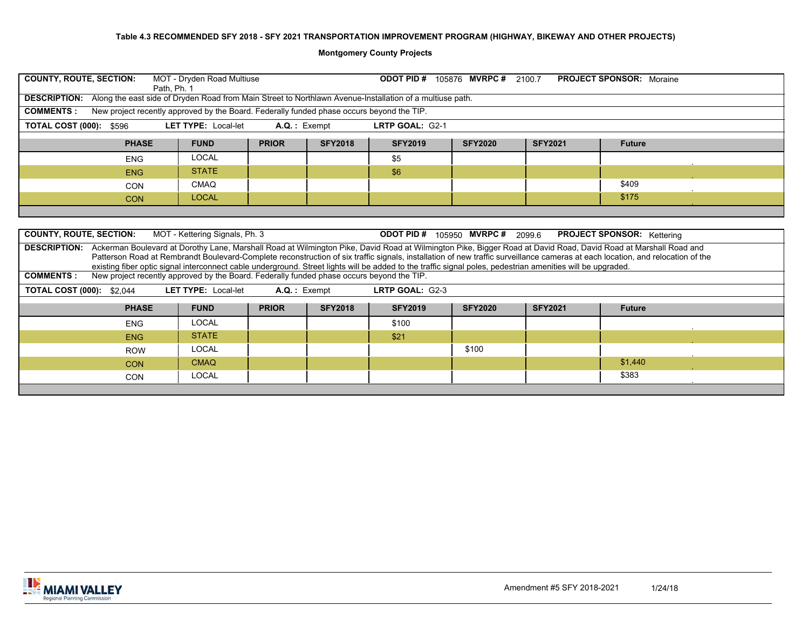|                                                                                                                                      | <b>COUNTY, ROUTE, SECTION:</b><br>MOT - Dryden Road Multiuse<br><b>ODOT PID # 105876 MVRPC # 2100.7</b><br><b>PROJECT SPONSOR: Moraine</b><br>Path. Ph. 1<br>DESCRIPTION: Along the east side of Dryden Road from Main Street to Northlawn Avenue-Installation of a multiuse path. |                                |                |                |                                                                                                                                                             |                |                |                                                                                                                                                                                                                                                                                                                                                                |  |  |  |  |
|--------------------------------------------------------------------------------------------------------------------------------------|------------------------------------------------------------------------------------------------------------------------------------------------------------------------------------------------------------------------------------------------------------------------------------|--------------------------------|----------------|----------------|-------------------------------------------------------------------------------------------------------------------------------------------------------------|----------------|----------------|----------------------------------------------------------------------------------------------------------------------------------------------------------------------------------------------------------------------------------------------------------------------------------------------------------------------------------------------------------------|--|--|--|--|
|                                                                                                                                      |                                                                                                                                                                                                                                                                                    |                                |                |                |                                                                                                                                                             |                |                |                                                                                                                                                                                                                                                                                                                                                                |  |  |  |  |
| <b>COMMENTS:</b>                                                                                                                     | New project recently approved by the Board. Federally funded phase occurs beyond the TIP.                                                                                                                                                                                          |                                |                |                |                                                                                                                                                             |                |                |                                                                                                                                                                                                                                                                                                                                                                |  |  |  |  |
| <b>TOTAL COST (000): \$596</b>                                                                                                       |                                                                                                                                                                                                                                                                                    | <b>LET TYPE: Local-let</b>     | A.Q.: Exempt   |                | LRTP GOAL: G2-1                                                                                                                                             |                |                |                                                                                                                                                                                                                                                                                                                                                                |  |  |  |  |
| <b>PHASE</b><br><b>FUND</b><br><b>PRIOR</b><br><b>SFY2018</b><br><b>SFY2019</b><br><b>SFY2020</b><br><b>SFY2021</b><br><b>Future</b> |                                                                                                                                                                                                                                                                                    |                                |                |                |                                                                                                                                                             |                |                |                                                                                                                                                                                                                                                                                                                                                                |  |  |  |  |
|                                                                                                                                      | <b>ENG</b>                                                                                                                                                                                                                                                                         | <b>LOCAL</b>                   |                |                | \$5                                                                                                                                                         |                |                |                                                                                                                                                                                                                                                                                                                                                                |  |  |  |  |
| <b>STATE</b><br>\$6<br><b>ENG</b>                                                                                                    |                                                                                                                                                                                                                                                                                    |                                |                |                |                                                                                                                                                             |                |                |                                                                                                                                                                                                                                                                                                                                                                |  |  |  |  |
|                                                                                                                                      | <b>CON</b>                                                                                                                                                                                                                                                                         | CMAQ                           |                |                |                                                                                                                                                             |                |                | \$409                                                                                                                                                                                                                                                                                                                                                          |  |  |  |  |
|                                                                                                                                      | <b>CON</b>                                                                                                                                                                                                                                                                         | <b>LOCAL</b>                   |                |                |                                                                                                                                                             |                |                | \$175                                                                                                                                                                                                                                                                                                                                                          |  |  |  |  |
|                                                                                                                                      |                                                                                                                                                                                                                                                                                    |                                |                |                |                                                                                                                                                             |                |                |                                                                                                                                                                                                                                                                                                                                                                |  |  |  |  |
|                                                                                                                                      |                                                                                                                                                                                                                                                                                    |                                |                |                |                                                                                                                                                             |                |                |                                                                                                                                                                                                                                                                                                                                                                |  |  |  |  |
| <b>COUNTY, ROUTE, SECTION:</b>                                                                                                       |                                                                                                                                                                                                                                                                                    | MOT - Kettering Signals, Ph. 3 |                |                | <b>ODOT PID # 105950 MVRPC # 2099.6</b>                                                                                                                     |                |                | <b>PROJECT SPONSOR:</b> Kettering                                                                                                                                                                                                                                                                                                                              |  |  |  |  |
|                                                                                                                                      |                                                                                                                                                                                                                                                                                    |                                |                |                |                                                                                                                                                             |                |                | DESCRIPTION: Ackerman Boulevard at Dorothy Lane, Marshall Road at Wilmington Pike, David Road at Wilmington Pike, Bigger Road at David Road, David Road at Marshall Road and<br>Patterson Road at Rembrandt Boulevard-Complete reconstruction of six traffic signals, installation of new traffic surveillance cameras at each location, and relocation of the |  |  |  |  |
| <b>COMMENTS:</b>                                                                                                                     | New project recently approved by the Board. Federally funded phase occurs beyond the TIP.                                                                                                                                                                                          |                                |                |                | existing fiber optic signal interconnect cable underground. Street lights will be added to the traffic signal poles, pedestrian amenities will be upgraded. |                |                |                                                                                                                                                                                                                                                                                                                                                                |  |  |  |  |
| <b>TOTAL COST (000): \$2,044</b>                                                                                                     |                                                                                                                                                                                                                                                                                    | <b>LET TYPE: Local-let</b>     | $A.Q.:$ Exempt |                | LRTP GOAL: G2-3                                                                                                                                             |                |                |                                                                                                                                                                                                                                                                                                                                                                |  |  |  |  |
|                                                                                                                                      |                                                                                                                                                                                                                                                                                    |                                |                |                |                                                                                                                                                             |                |                |                                                                                                                                                                                                                                                                                                                                                                |  |  |  |  |
|                                                                                                                                      | <b>PHASE</b>                                                                                                                                                                                                                                                                       | <b>FUND</b>                    | <b>PRIOR</b>   | <b>SFY2018</b> | <b>SFY2019</b>                                                                                                                                              | <b>SFY2020</b> | <b>SFY2021</b> | <b>Future</b>                                                                                                                                                                                                                                                                                                                                                  |  |  |  |  |
|                                                                                                                                      | <b>ENG</b>                                                                                                                                                                                                                                                                         | <b>LOCAL</b>                   |                |                | \$100                                                                                                                                                       |                |                |                                                                                                                                                                                                                                                                                                                                                                |  |  |  |  |
|                                                                                                                                      | <b>ENG</b>                                                                                                                                                                                                                                                                         | <b>STATE</b>                   |                |                | \$21                                                                                                                                                        |                |                |                                                                                                                                                                                                                                                                                                                                                                |  |  |  |  |
|                                                                                                                                      | <b>ROW</b>                                                                                                                                                                                                                                                                         | <b>LOCAL</b>                   |                |                |                                                                                                                                                             | \$100          |                |                                                                                                                                                                                                                                                                                                                                                                |  |  |  |  |
|                                                                                                                                      | <b>CON</b>                                                                                                                                                                                                                                                                         | <b>CMAQ</b>                    |                |                |                                                                                                                                                             |                |                | \$1,440                                                                                                                                                                                                                                                                                                                                                        |  |  |  |  |
|                                                                                                                                      | CON                                                                                                                                                                                                                                                                                | <b>LOCAL</b>                   |                |                |                                                                                                                                                             |                |                | \$383                                                                                                                                                                                                                                                                                                                                                          |  |  |  |  |
|                                                                                                                                      |                                                                                                                                                                                                                                                                                    |                                |                |                |                                                                                                                                                             |                |                |                                                                                                                                                                                                                                                                                                                                                                |  |  |  |  |

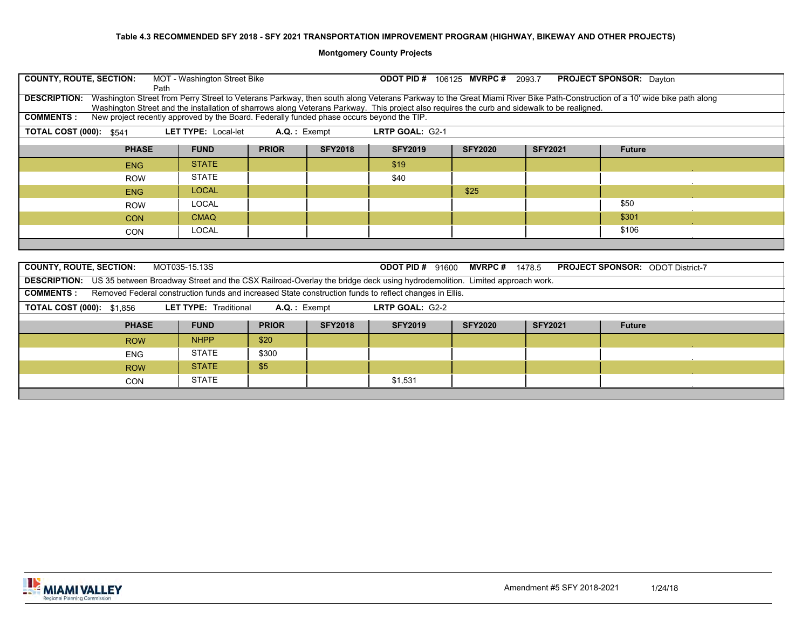| <b>COUNTY, ROUTE, SECTION:</b><br>MOT - Washington Street Bike<br><b>PROJECT SPONSOR:</b> Dayton<br><b>ODOT PID #</b><br>106125 MVRPC # 2093.7<br>Path                                                                                                                                                                                          |                                                                                                                   |  |      |      |  |       |  |  |  |  |  |  |
|-------------------------------------------------------------------------------------------------------------------------------------------------------------------------------------------------------------------------------------------------------------------------------------------------------------------------------------------------|-------------------------------------------------------------------------------------------------------------------|--|------|------|--|-------|--|--|--|--|--|--|
| Washington Street from Perry Street to Veterans Parkway, then south along Veterans Parkway to the Great Miami River Bike Path-Construction of a 10' wide bike path along<br><b>DESCRIPTION:</b><br>Washington Street and the installation of sharrows along Veterans Parkway. This project also requires the curb and sidewalk to be realigned. |                                                                                                                   |  |      |      |  |       |  |  |  |  |  |  |
| New project recently approved by the Board. Federally funded phase occurs beyond the TIP.<br><b>COMMENTS:</b>                                                                                                                                                                                                                                   |                                                                                                                   |  |      |      |  |       |  |  |  |  |  |  |
| LRTP GOAL: G2-1<br><b>TOTAL COST (000): \$541</b><br><b>LET TYPE: Local-let</b><br>$A.Q.:$ Exempt                                                                                                                                                                                                                                               |                                                                                                                   |  |      |      |  |       |  |  |  |  |  |  |
| <b>SFY2018</b><br><b>PRIOR</b><br><b>SFY2019</b><br><b>SFY2021</b><br><b>PHASE</b><br><b>FUND</b><br><b>SFY2020</b><br><b>Future</b>                                                                                                                                                                                                            |                                                                                                                   |  |      |      |  |       |  |  |  |  |  |  |
| <b>ENG</b>                                                                                                                                                                                                                                                                                                                                      | <b>STATE</b>                                                                                                      |  | \$19 |      |  |       |  |  |  |  |  |  |
| <b>STATE</b><br>\$40<br><b>ROW</b>                                                                                                                                                                                                                                                                                                              |                                                                                                                   |  |      |      |  |       |  |  |  |  |  |  |
| <b>ENG</b>                                                                                                                                                                                                                                                                                                                                      | <b>LOCAL</b>                                                                                                      |  |      | \$25 |  |       |  |  |  |  |  |  |
| <b>ROW</b>                                                                                                                                                                                                                                                                                                                                      | LOCAL                                                                                                             |  |      |      |  | \$50  |  |  |  |  |  |  |
| <b>CON</b>                                                                                                                                                                                                                                                                                                                                      | <b>CMAQ</b>                                                                                                       |  |      |      |  | \$301 |  |  |  |  |  |  |
| <b>CON</b>                                                                                                                                                                                                                                                                                                                                      | LOCAL                                                                                                             |  |      |      |  | \$106 |  |  |  |  |  |  |
|                                                                                                                                                                                                                                                                                                                                                 |                                                                                                                   |  |      |      |  |       |  |  |  |  |  |  |
|                                                                                                                                                                                                                                                                                                                                                 |                                                                                                                   |  |      |      |  |       |  |  |  |  |  |  |
| <b>COUNTY, ROUTE, SECTION:</b>                                                                                                                                                                                                                                                                                                                  | MOT035-15.13S<br><b>ODOT PID #</b><br><b>MVRPC#</b><br><b>PROJECT SPONSOR: ODOT District-7</b><br>91600<br>1478.5 |  |      |      |  |       |  |  |  |  |  |  |
| <b>DESCRIPTION:</b> US 35 between Broadway Street and the CSX Railroad-Overlay the bridge deck using hydrodemolition. Limited approach work.<br><b>OOMMENTO</b> : Description controls and contract of Objects and the control of the selection of the control of EUC                                                                           |                                                                                                                   |  |      |      |  |       |  |  |  |  |  |  |

| <b>COMMENTS:</b>                 | Removed Federal construction funds and increased State construction funds to reflect changes in Ellis. |                              |                |                |                 |                |                |               |  |  |  |  |  |  |
|----------------------------------|--------------------------------------------------------------------------------------------------------|------------------------------|----------------|----------------|-----------------|----------------|----------------|---------------|--|--|--|--|--|--|
| <b>TOTAL COST (000): \$1,856</b> |                                                                                                        | <b>LET TYPE: Traditional</b> | $A.Q.:$ Exempt |                | LRTP GOAL: G2-2 |                |                |               |  |  |  |  |  |  |
|                                  | <b>PHASE</b>                                                                                           | <b>FUND</b>                  | <b>PRIOR</b>   | <b>SFY2018</b> | <b>SFY2019</b>  | <b>SFY2020</b> | <b>SFY2021</b> | <b>Future</b> |  |  |  |  |  |  |
|                                  | <b>ROW</b>                                                                                             | <b>NHPP</b>                  | \$20           |                |                 |                |                |               |  |  |  |  |  |  |
|                                  | <b>ENG</b>                                                                                             | STATE                        | \$300          |                |                 |                |                |               |  |  |  |  |  |  |
|                                  | <b>ROW</b>                                                                                             | <b>STATE</b>                 | \$5            |                |                 |                |                |               |  |  |  |  |  |  |
|                                  | <b>CON</b>                                                                                             | <b>STATE</b>                 |                |                | \$1,531         |                |                |               |  |  |  |  |  |  |
|                                  |                                                                                                        |                              |                |                |                 |                |                |               |  |  |  |  |  |  |

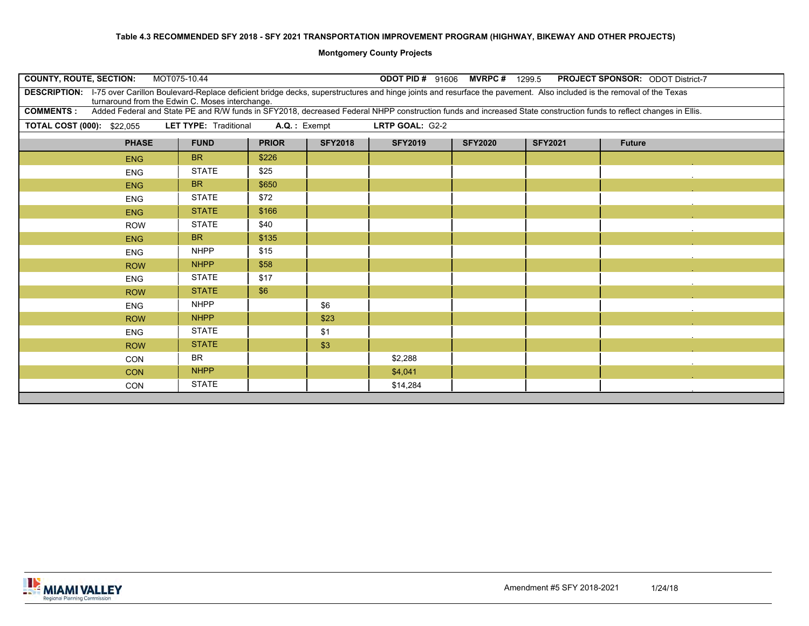| <b>COUNTY, ROUTE, SECTION:</b>                                                                                                                                                                                                      | MOT075-10.44                 |                 |                | <b>ODOT PID # 91606 MVRPC # 1299.5</b> |                |                | <b>PROJECT SPONSOR: ODOT District-7</b>                                                                                                                            |
|-------------------------------------------------------------------------------------------------------------------------------------------------------------------------------------------------------------------------------------|------------------------------|-----------------|----------------|----------------------------------------|----------------|----------------|--------------------------------------------------------------------------------------------------------------------------------------------------------------------|
| DESCRIPTION: I-75 over Carillon Boulevard-Replace deficient bridge decks, superstructures and hinge joints and resurface the pavement. Also included is the removal of the Texas<br>turnaround from the Edwin C. Moses interchange. |                              |                 |                |                                        |                |                |                                                                                                                                                                    |
| <b>COMMENTS:</b>                                                                                                                                                                                                                    |                              |                 |                |                                        |                |                | Added Federal and State PE and R/W funds in SFY2018, decreased Federal NHPP construction funds and increased State construction funds to reflect changes in Ellis. |
| <b>TOTAL COST (000): \$22,055</b>                                                                                                                                                                                                   | <b>LET TYPE: Traditional</b> | $A.Q.$ : Exempt |                | LRTP GOAL: G2-2                        |                |                |                                                                                                                                                                    |
| <b>PHASE</b>                                                                                                                                                                                                                        | <b>FUND</b>                  | <b>PRIOR</b>    | <b>SFY2018</b> | <b>SFY2019</b>                         | <b>SFY2020</b> | <b>SFY2021</b> | <b>Future</b>                                                                                                                                                      |
| <b>ENG</b>                                                                                                                                                                                                                          | <b>BR</b>                    | \$226           |                |                                        |                |                |                                                                                                                                                                    |
| <b>ENG</b>                                                                                                                                                                                                                          | <b>STATE</b>                 | \$25            |                |                                        |                |                |                                                                                                                                                                    |
| <b>ENG</b>                                                                                                                                                                                                                          | <b>BR</b>                    | \$650           |                |                                        |                |                |                                                                                                                                                                    |
| <b>ENG</b>                                                                                                                                                                                                                          | <b>STATE</b>                 | \$72            |                |                                        |                |                |                                                                                                                                                                    |
| <b>ENG</b>                                                                                                                                                                                                                          | <b>STATE</b>                 | \$166           |                |                                        |                |                |                                                                                                                                                                    |
| <b>ROW</b>                                                                                                                                                                                                                          | <b>STATE</b>                 | \$40            |                |                                        |                |                |                                                                                                                                                                    |
| <b>ENG</b>                                                                                                                                                                                                                          | <b>BR</b>                    | \$135           |                |                                        |                |                |                                                                                                                                                                    |
| <b>ENG</b>                                                                                                                                                                                                                          | <b>NHPP</b>                  | \$15            |                |                                        |                |                |                                                                                                                                                                    |
| <b>ROW</b>                                                                                                                                                                                                                          | <b>NHPP</b>                  | \$58            |                |                                        |                |                |                                                                                                                                                                    |
| <b>ENG</b>                                                                                                                                                                                                                          | <b>STATE</b>                 | \$17            |                |                                        |                |                |                                                                                                                                                                    |
| <b>ROW</b>                                                                                                                                                                                                                          | <b>STATE</b>                 | \$6             |                |                                        |                |                |                                                                                                                                                                    |
| <b>ENG</b>                                                                                                                                                                                                                          | <b>NHPP</b>                  |                 | \$6            |                                        |                |                |                                                                                                                                                                    |
| <b>ROW</b>                                                                                                                                                                                                                          | <b>NHPP</b>                  |                 | \$23           |                                        |                |                |                                                                                                                                                                    |
| <b>ENG</b>                                                                                                                                                                                                                          | <b>STATE</b>                 |                 | \$1            |                                        |                |                |                                                                                                                                                                    |
| <b>ROW</b>                                                                                                                                                                                                                          | <b>STATE</b>                 |                 | \$3            |                                        |                |                |                                                                                                                                                                    |
| <b>CON</b>                                                                                                                                                                                                                          | <b>BR</b>                    |                 |                | \$2,288                                |                |                |                                                                                                                                                                    |
| <b>CON</b>                                                                                                                                                                                                                          | <b>NHPP</b>                  |                 |                | \$4,041                                |                |                |                                                                                                                                                                    |
| CON                                                                                                                                                                                                                                 | <b>STATE</b>                 |                 |                | \$14,284                               |                |                |                                                                                                                                                                    |
|                                                                                                                                                                                                                                     |                              |                 |                |                                        |                |                |                                                                                                                                                                    |

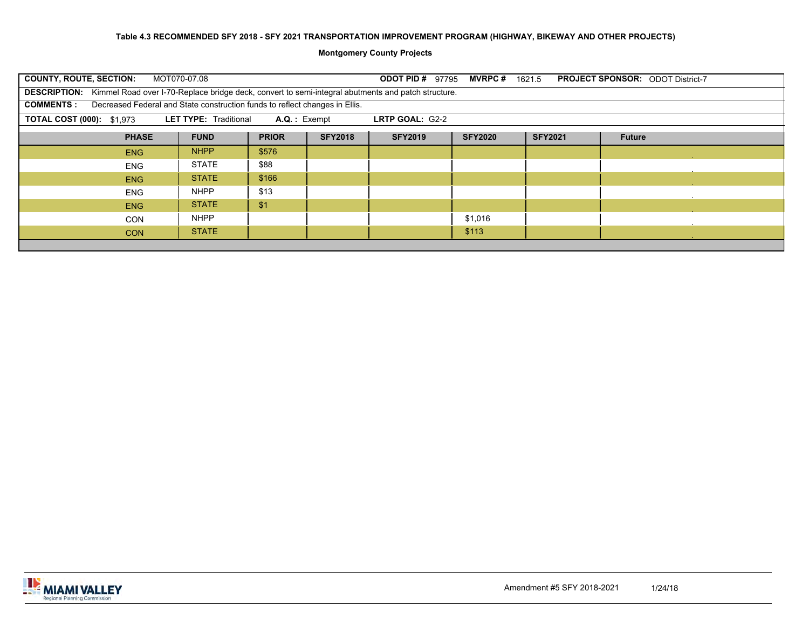| <b>COUNTY, ROUTE, SECTION:</b>                                                                                                       | MOT070-07.08<br><b>ODOT PID #</b><br><b>MVRPC</b> #<br><b>PROJECT SPONSOR: ODOT District-7</b><br>97795<br>1621.5 |       |  |  |         |  |  |  |  |  |  |  |  |
|--------------------------------------------------------------------------------------------------------------------------------------|-------------------------------------------------------------------------------------------------------------------|-------|--|--|---------|--|--|--|--|--|--|--|--|
|                                                                                                                                      | DESCRIPTION: Kimmel Road over I-70-Replace bridge deck, convert to semi-integral abutments and patch structure.   |       |  |  |         |  |  |  |  |  |  |  |  |
| Decreased Federal and State construction funds to reflect changes in Ellis.<br><b>COMMENTS:</b>                                      |                                                                                                                   |       |  |  |         |  |  |  |  |  |  |  |  |
| <b>LET TYPE: Traditional</b><br><b>TOTAL COST (000): \$1,973</b><br>$A.Q.:$ Exempt<br>LRTP GOAL: G2-2                                |                                                                                                                   |       |  |  |         |  |  |  |  |  |  |  |  |
| <b>SFY2018</b><br><b>FUND</b><br><b>PRIOR</b><br><b>SFY2019</b><br><b>PHASE</b><br><b>SFY2020</b><br><b>SFY2021</b><br><b>Future</b> |                                                                                                                   |       |  |  |         |  |  |  |  |  |  |  |  |
| <b>ENG</b>                                                                                                                           | <b>NHPP</b>                                                                                                       | \$576 |  |  |         |  |  |  |  |  |  |  |  |
| <b>ENG</b>                                                                                                                           | STATE                                                                                                             | \$88  |  |  |         |  |  |  |  |  |  |  |  |
| <b>ENG</b>                                                                                                                           | <b>STATE</b>                                                                                                      | \$166 |  |  |         |  |  |  |  |  |  |  |  |
| <b>ENG</b>                                                                                                                           | <b>NHPP</b>                                                                                                       | \$13  |  |  |         |  |  |  |  |  |  |  |  |
| <b>ENG</b>                                                                                                                           | <b>STATE</b>                                                                                                      | \$1   |  |  |         |  |  |  |  |  |  |  |  |
| <b>CON</b>                                                                                                                           | <b>NHPP</b>                                                                                                       |       |  |  | \$1,016 |  |  |  |  |  |  |  |  |
| <b>CON</b>                                                                                                                           | <b>STATE</b>                                                                                                      |       |  |  | \$113   |  |  |  |  |  |  |  |  |
|                                                                                                                                      |                                                                                                                   |       |  |  |         |  |  |  |  |  |  |  |  |

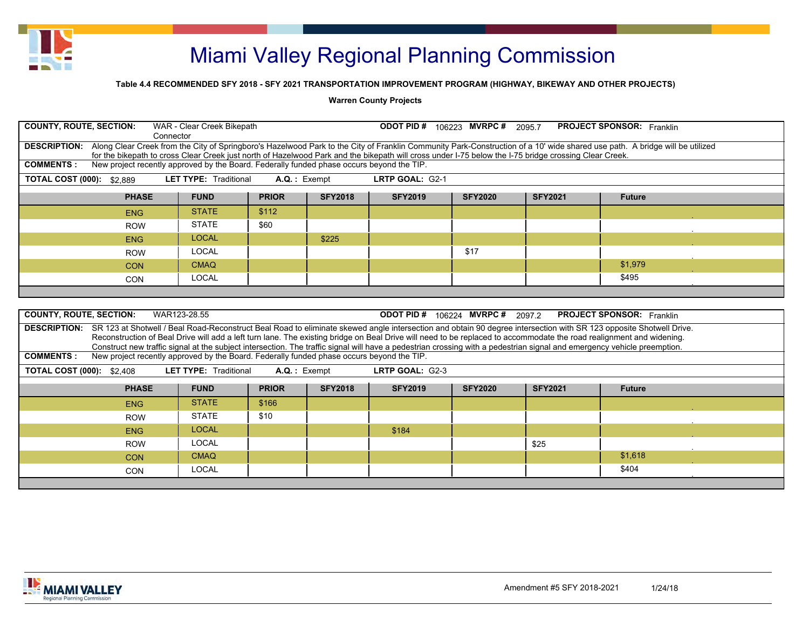

### **Table 4.4 RECOMMENDED SFY 2018 - SFY 2021 TRANSPORTATION IMPROVEMENT PROGRAM (HIGHWAY, BIKEWAY AND OTHER PROJECTS)**

#### **Warren County Projects**

| <b>COUNTY, ROUTE, SECTION:</b>                                                                                                                                                           | WAR - Clear Creek Bikepath<br>Connector                                                                                                                                 |                 |                | <b>ODOT PID # 106223 MVRPC # 2095.7</b> |                |                | <b>PROJECT SPONSOR: Franklin</b> |  |  |  |  |
|------------------------------------------------------------------------------------------------------------------------------------------------------------------------------------------|-------------------------------------------------------------------------------------------------------------------------------------------------------------------------|-----------------|----------------|-----------------------------------------|----------------|----------------|----------------------------------|--|--|--|--|
| DESCRIPTION: Along Clear Creek from the City of Springboro's Hazelwood Park to the City of Franklin Community Park-Construction of a 10' wide shared use path. A bridge will be utilized | for the bikepath to cross Clear Creek just north of Hazelwood Park and the bikepath will cross under I-75 below the I-75 bridge crossing Clear Creek.                   |                 |                |                                         |                |                |                                  |  |  |  |  |
| <b>COMMENTS:</b>                                                                                                                                                                         | New project recently approved by the Board. Federally funded phase occurs beyond the TIP.                                                                               |                 |                |                                         |                |                |                                  |  |  |  |  |
| <b>TOTAL COST (000): \$2,889</b>                                                                                                                                                         | <b>LET TYPE: Traditional</b>                                                                                                                                            | $A.Q.$ : Exempt |                | LRTP GOAL: G2-1                         |                |                |                                  |  |  |  |  |
| <b>PHASE</b><br><b>PRIOR</b><br><b>SFY2018</b><br><b>SFY2019</b><br><b>FUND</b><br><b>SFY2020</b><br><b>SFY2021</b><br><b>Future</b>                                                     |                                                                                                                                                                         |                 |                |                                         |                |                |                                  |  |  |  |  |
| <b>ENG</b>                                                                                                                                                                               | <b>STATE</b>                                                                                                                                                            | \$112           |                |                                         |                |                |                                  |  |  |  |  |
| <b>ROW</b>                                                                                                                                                                               | <b>STATE</b>                                                                                                                                                            | \$60            |                |                                         |                |                |                                  |  |  |  |  |
| <b>ENG</b>                                                                                                                                                                               | <b>LOCAL</b>                                                                                                                                                            |                 | \$225          |                                         |                |                |                                  |  |  |  |  |
| <b>ROW</b>                                                                                                                                                                               | <b>LOCAL</b>                                                                                                                                                            |                 |                |                                         | \$17           |                |                                  |  |  |  |  |
| <b>CON</b>                                                                                                                                                                               | <b>CMAQ</b>                                                                                                                                                             |                 |                |                                         |                |                | \$1,979                          |  |  |  |  |
| <b>CON</b>                                                                                                                                                                               | <b>LOCAL</b>                                                                                                                                                            |                 |                |                                         |                |                | \$495                            |  |  |  |  |
|                                                                                                                                                                                          |                                                                                                                                                                         |                 |                |                                         |                |                |                                  |  |  |  |  |
|                                                                                                                                                                                          |                                                                                                                                                                         |                 |                |                                         |                |                |                                  |  |  |  |  |
| <b>COUNTY, ROUTE, SECTION:</b>                                                                                                                                                           | WAR123-28.55                                                                                                                                                            |                 |                | <b>ODOT PID # 106224 MVRPC # 2097.2</b> |                |                | <b>PROJECT SPONSOR:</b> Franklin |  |  |  |  |
| DESCRIPTION: SR 123 at Shotwell / Beal Road-Reconstruct Beal Road to eliminate skewed angle intersection and obtain 90 degree intersection with SR 123 opposite Shotwell Drive.          | Reconstruction of Beal Drive will add a left turn lane. The existing bridge on Beal Drive will need to be replaced to accommodate the road realignment and widening.    |                 |                |                                         |                |                |                                  |  |  |  |  |
|                                                                                                                                                                                          | Construct new traffic signal at the subject intersection. The traffic signal will have a pedestrian crossing with a pedestrian signal and emergency vehicle preemption. |                 |                |                                         |                |                |                                  |  |  |  |  |
| <b>COMMENTS:</b>                                                                                                                                                                         | New project recently approved by the Board. Federally funded phase occurs beyond the TIP.                                                                               |                 |                |                                         |                |                |                                  |  |  |  |  |
| <b>TOTAL COST (000): \$2,408</b>                                                                                                                                                         | <b>LET TYPE: Traditional</b>                                                                                                                                            | $A.Q.$ : Exempt |                | LRTP GOAL: G2-3                         |                |                |                                  |  |  |  |  |
|                                                                                                                                                                                          | <b>PHASE</b><br><b>FUND</b>                                                                                                                                             | <b>PRIOR</b>    | <b>SFY2018</b> | <b>SFY2019</b>                          | <b>SFY2020</b> | <b>SFY2021</b> | <b>Future</b>                    |  |  |  |  |
| <b>ENG</b>                                                                                                                                                                               | <b>STATE</b>                                                                                                                                                            | \$166           |                |                                         |                |                |                                  |  |  |  |  |
| <b>ROW</b>                                                                                                                                                                               | <b>STATE</b>                                                                                                                                                            | \$10            |                |                                         |                |                |                                  |  |  |  |  |
| <b>ENG</b>                                                                                                                                                                               | <b>LOCAL</b>                                                                                                                                                            |                 |                | \$184                                   |                |                |                                  |  |  |  |  |
| <b>ROW</b>                                                                                                                                                                               | <b>LOCAL</b>                                                                                                                                                            |                 |                |                                         |                | \$25           |                                  |  |  |  |  |
| <b>CON</b>                                                                                                                                                                               | <b>CMAQ</b>                                                                                                                                                             |                 |                |                                         |                |                | \$1,618                          |  |  |  |  |
| <b>CON</b>                                                                                                                                                                               | <b>LOCAL</b>                                                                                                                                                            |                 |                |                                         |                |                | \$404                            |  |  |  |  |

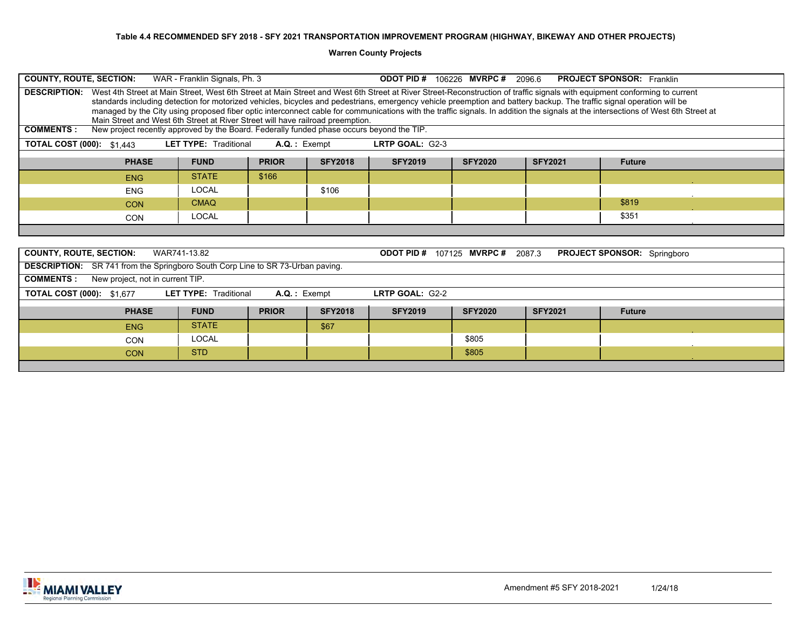**Warren County Projects**

| <b>COUNTY, ROUTE, SECTION:</b><br>WAR - Franklin Signals, Ph. 3<br><b>ODOT PID#</b><br>106226 MVRPC#<br><b>PROJECT SPONSOR: Franklin</b><br>2096.6                                                                                                                                                                                                                                                                                                                                                                                                                                                                                                                                                                                                                |                              |                |                |                   |                       |                |                                    |  |  |  |
|-------------------------------------------------------------------------------------------------------------------------------------------------------------------------------------------------------------------------------------------------------------------------------------------------------------------------------------------------------------------------------------------------------------------------------------------------------------------------------------------------------------------------------------------------------------------------------------------------------------------------------------------------------------------------------------------------------------------------------------------------------------------|------------------------------|----------------|----------------|-------------------|-----------------------|----------------|------------------------------------|--|--|--|
| West 4th Street at Main Street, West 6th Street at Main Street and West 6th Street at River Street-Reconstruction of traffic signals with equipment conforming to current<br><b>DESCRIPTION:</b><br>standards including detection for motorized vehicles, bicycles and pedestrians, emergency vehicle preemption and battery backup. The traffic signal operation will be<br>managed by the City using proposed fiber optic interconnect cable for communications with the traffic signals. In addition the signals at the intersections of West 6th Street at<br>Main Street and West 6th Street at River Street will have railroad preemption.<br>New project recently approved by the Board. Federally funded phase occurs beyond the TIP.<br><b>COMMENTS:</b> |                              |                |                |                   |                       |                |                                    |  |  |  |
|                                                                                                                                                                                                                                                                                                                                                                                                                                                                                                                                                                                                                                                                                                                                                                   |                              |                |                |                   |                       |                |                                    |  |  |  |
| <b>LET TYPE: Traditional</b><br>$A.Q.:$ Exempt<br>LRTP GOAL: G2-3<br><b>TOTAL COST (000): \$1,443</b>                                                                                                                                                                                                                                                                                                                                                                                                                                                                                                                                                                                                                                                             |                              |                |                |                   |                       |                |                                    |  |  |  |
| <b>PHASE</b>                                                                                                                                                                                                                                                                                                                                                                                                                                                                                                                                                                                                                                                                                                                                                      | <b>FUND</b>                  | <b>PRIOR</b>   | <b>SFY2018</b> | <b>SFY2019</b>    | <b>SFY2020</b>        | <b>SFY2021</b> | <b>Future</b>                      |  |  |  |
| <b>ENG</b>                                                                                                                                                                                                                                                                                                                                                                                                                                                                                                                                                                                                                                                                                                                                                        | <b>STATE</b>                 | \$166          |                |                   |                       |                |                                    |  |  |  |
| <b>ENG</b>                                                                                                                                                                                                                                                                                                                                                                                                                                                                                                                                                                                                                                                                                                                                                        | <b>LOCAL</b>                 |                | \$106          |                   |                       |                |                                    |  |  |  |
| <b>CON</b>                                                                                                                                                                                                                                                                                                                                                                                                                                                                                                                                                                                                                                                                                                                                                        | <b>CMAQ</b>                  |                |                |                   |                       |                | \$819                              |  |  |  |
| <b>CON</b>                                                                                                                                                                                                                                                                                                                                                                                                                                                                                                                                                                                                                                                                                                                                                        | <b>LOCAL</b>                 |                |                |                   |                       |                | \$351                              |  |  |  |
|                                                                                                                                                                                                                                                                                                                                                                                                                                                                                                                                                                                                                                                                                                                                                                   |                              |                |                |                   |                       |                |                                    |  |  |  |
| <b>COUNTY, ROUTE, SECTION:</b>                                                                                                                                                                                                                                                                                                                                                                                                                                                                                                                                                                                                                                                                                                                                    | WAR741-13.82                 |                |                | <b>ODOT PID #</b> | 107125 MVRPC # 2087.3 |                | <b>PROJECT SPONSOR:</b> Springboro |  |  |  |
| <b>DESCRIPTION:</b> SR 741 from the Springboro South Corp Line to SR 73-Urban paving.                                                                                                                                                                                                                                                                                                                                                                                                                                                                                                                                                                                                                                                                             |                              |                |                |                   |                       |                |                                    |  |  |  |
| <b>COMMENTS:</b><br>New project, not in current TIP.                                                                                                                                                                                                                                                                                                                                                                                                                                                                                                                                                                                                                                                                                                              |                              |                |                |                   |                       |                |                                    |  |  |  |
| <b>TOTAL COST (000): \$1,677</b>                                                                                                                                                                                                                                                                                                                                                                                                                                                                                                                                                                                                                                                                                                                                  | <b>LET TYPE: Traditional</b> | $A.Q.:$ Exempt |                | LRTP GOAL: G2-2   |                       |                |                                    |  |  |  |
| <b>PHASE</b>                                                                                                                                                                                                                                                                                                                                                                                                                                                                                                                                                                                                                                                                                                                                                      | <b>FUND</b>                  | <b>PRIOR</b>   | <b>SFY2018</b> | <b>SFY2019</b>    | <b>SFY2020</b>        | <b>SFY2021</b> | <b>Future</b>                      |  |  |  |
| <b>ENG</b>                                                                                                                                                                                                                                                                                                                                                                                                                                                                                                                                                                                                                                                                                                                                                        | <b>STATE</b>                 |                | \$67           |                   |                       |                |                                    |  |  |  |
| CON                                                                                                                                                                                                                                                                                                                                                                                                                                                                                                                                                                                                                                                                                                                                                               | <b>LOCAL</b>                 |                |                |                   | \$805                 |                |                                    |  |  |  |
| <b>CON</b>                                                                                                                                                                                                                                                                                                                                                                                                                                                                                                                                                                                                                                                                                                                                                        | <b>STD</b>                   |                |                |                   | \$805                 |                |                                    |  |  |  |

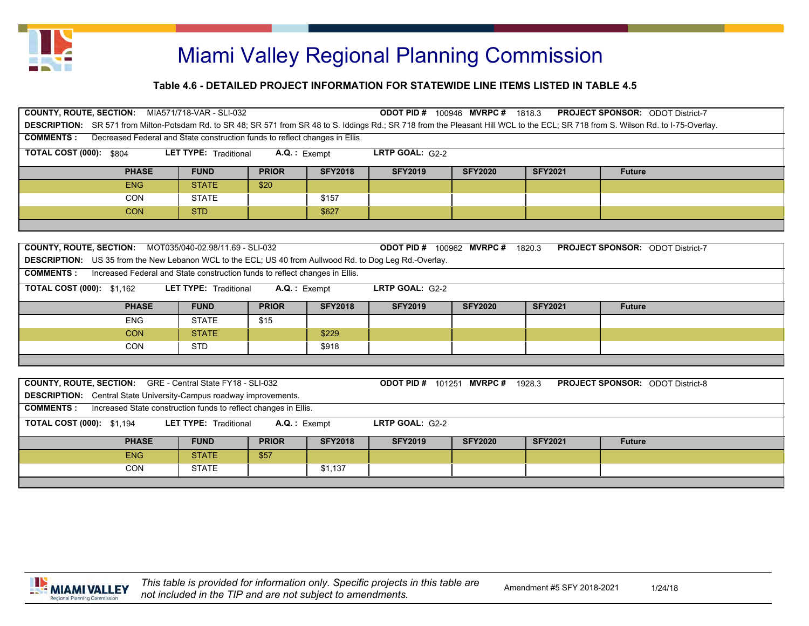

| <b>COUNTY, ROUTE, SECTION:</b><br>MIA571/718-VAR - SLI-032<br>100946 MVRPC#<br><b>PROJECT SPONSOR: ODOT District-7</b><br><b>ODOT PID#</b><br>1818.3                                |                                                                             |                |                |                                     |                |                |                                         |  |  |  |
|-------------------------------------------------------------------------------------------------------------------------------------------------------------------------------------|-----------------------------------------------------------------------------|----------------|----------------|-------------------------------------|----------------|----------------|-----------------------------------------|--|--|--|
| DESCRIPTION: SR 571 from Milton-Potsdam Rd. to SR 48; SR 571 from SR 48 to S. Iddings Rd.; SR 718 from the Pleasant Hill WCL to the ECL; SR 718 from S. Wilson Rd. to I-75-Overlay. |                                                                             |                |                |                                     |                |                |                                         |  |  |  |
| <b>COMMENTS:</b><br>Decreased Federal and State construction funds to reflect changes in Ellis.                                                                                     |                                                                             |                |                |                                     |                |                |                                         |  |  |  |
| TOTAL COST (000):<br><b>LRTP GOAL: <math>G2-2</math></b><br><b>LET TYPE:</b> Traditional<br>$A.Q.:$ Exempt<br>\$804                                                                 |                                                                             |                |                |                                     |                |                |                                         |  |  |  |
| <b>PHASE</b>                                                                                                                                                                        | <b>FUND</b>                                                                 | <b>PRIOR</b>   | <b>SFY2018</b> | <b>SFY2019</b>                      | <b>SFY2020</b> | <b>SFY2021</b> | <b>Future</b>                           |  |  |  |
| ENG                                                                                                                                                                                 | <b>STATE</b>                                                                | \$20           |                |                                     |                |                |                                         |  |  |  |
| <b>CON</b>                                                                                                                                                                          | <b>STATE</b>                                                                |                | \$157          |                                     |                |                |                                         |  |  |  |
| <b>CON</b>                                                                                                                                                                          | <b>STD</b>                                                                  |                | \$627          |                                     |                |                |                                         |  |  |  |
|                                                                                                                                                                                     |                                                                             |                |                |                                     |                |                |                                         |  |  |  |
|                                                                                                                                                                                     |                                                                             |                |                |                                     |                |                |                                         |  |  |  |
| <b>COUNTY, ROUTE, SECTION:</b>                                                                                                                                                      | MOT035/040-02.98/11.69 - SLI-032                                            |                |                | <b>ODOT PID #</b>                   | 100962 MVRPC#  | 1820.3         | <b>PROJECT SPONSOR: ODOT District-7</b> |  |  |  |
| <b>DESCRIPTION:</b> US 35 from the New Lebanon WCL to the ECL; US 40 from Auliwood Rd. to Dog Leg Rd.-Overlay.                                                                      |                                                                             |                |                |                                     |                |                |                                         |  |  |  |
| <b>COMMENTS:</b>                                                                                                                                                                    | Increased Federal and State construction funds to reflect changes in Ellis. |                |                |                                     |                |                |                                         |  |  |  |
| <b>TOTAL COST (000): \$1.162</b>                                                                                                                                                    | <b>LET TYPE: Traditional</b>                                                | $A.Q.:$ Exempt |                | <b>LRTP GOAL: <math>G2-2</math></b> |                |                |                                         |  |  |  |

| <b>PHASE</b> | <b>FUND</b> |              | <b>PRIOR</b> | <b>SFY2018</b> | <b>SFY2019</b> | <b>SFY2020</b> | <b>SFY2021</b> | <b>Future</b> |
|--------------|-------------|--------------|--------------|----------------|----------------|----------------|----------------|---------------|
| <b>ENG</b>   |             | <b>STATE</b> | \$15         |                |                |                |                |               |
| <b>CON</b>   |             | <b>STATE</b> |              | \$229          |                |                |                |               |
| <b>CON</b>   | <b>STD</b>  |              |              | \$918          |                |                |                |               |
|              |             |              |              |                |                |                |                |               |

| <b>COUNTY, ROUTE, SECTION:</b> GRE - Central State FY18 - SLI-032                                                         |              |              |                | <b>ODOT PID #</b> | 101251 <b>MVRPC#</b> | 1928.3         | <b>PROJECT SPONSOR: ODOT District-8</b> |  |  |  |
|---------------------------------------------------------------------------------------------------------------------------|--------------|--------------|----------------|-------------------|----------------------|----------------|-----------------------------------------|--|--|--|
| <b>DESCRIPTION:</b> Central State University-Campus roadway improvements.                                                 |              |              |                |                   |                      |                |                                         |  |  |  |
| Increased State construction funds to reflect changes in Ellis.<br><b>COMMENTS:</b>                                       |              |              |                |                   |                      |                |                                         |  |  |  |
| <b>TOTAL COST (000): \$1,194</b><br><b>LET TYPE:</b> Traditional<br><b>LRTP GOAL: <math>G2-2</math></b><br>$A.Q.:$ Exempt |              |              |                |                   |                      |                |                                         |  |  |  |
| <b>PHASE</b>                                                                                                              | <b>FUND</b>  | <b>PRIOR</b> | <b>SFY2018</b> | <b>SFY2019</b>    | <b>SFY2020</b>       | <b>SFY2021</b> | <b>Future</b>                           |  |  |  |
| ENG                                                                                                                       | <b>STATE</b> | \$57         |                |                   |                      |                |                                         |  |  |  |
| <b>STATE</b><br><b>CON</b><br>\$1,137                                                                                     |              |              |                |                   |                      |                |                                         |  |  |  |
|                                                                                                                           |              |              |                |                   |                      |                |                                         |  |  |  |

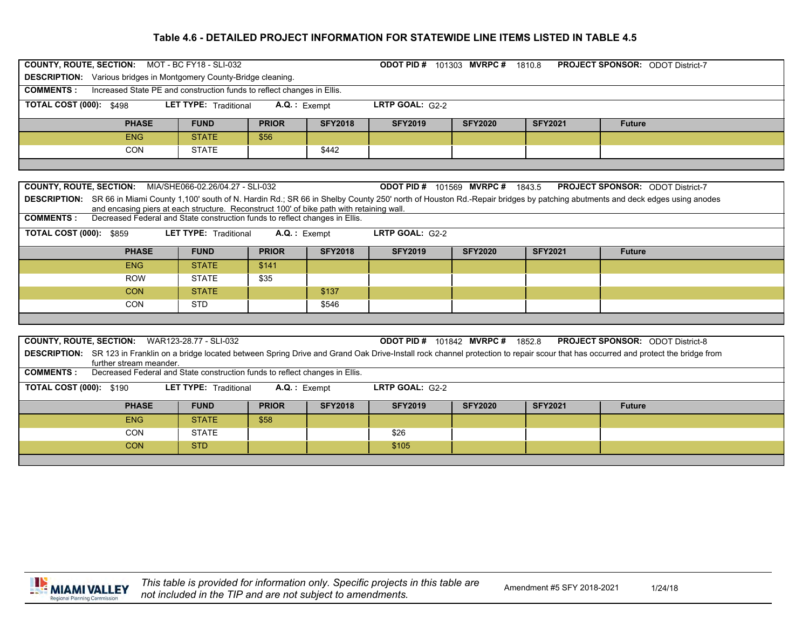| <b>COUNTY, ROUTE, SECTION: MOT - BC FY18 - SLI-032</b><br><b>ODOT PID # 101303 MVRPC # 1810.8</b><br><b>PROJECT SPONSOR: ODOT District-7</b> |                                                                                          |                              |                 |                |                                         |                |                |                                                                                                                                                                                            |  |  |  |
|----------------------------------------------------------------------------------------------------------------------------------------------|------------------------------------------------------------------------------------------|------------------------------|-----------------|----------------|-----------------------------------------|----------------|----------------|--------------------------------------------------------------------------------------------------------------------------------------------------------------------------------------------|--|--|--|
| <b>DESCRIPTION:</b> Various bridges in Montgomery County-Bridge cleaning.                                                                    |                                                                                          |                              |                 |                |                                         |                |                |                                                                                                                                                                                            |  |  |  |
| Increased State PE and construction funds to reflect changes in Ellis.<br><b>COMMENTS:</b>                                                   |                                                                                          |                              |                 |                |                                         |                |                |                                                                                                                                                                                            |  |  |  |
| <b>TOTAL COST (000): \$498</b>                                                                                                               |                                                                                          | <b>LET TYPE: Traditional</b> | $A.Q.$ : Exempt |                | LRTP GOAL: G2-2                         |                |                |                                                                                                                                                                                            |  |  |  |
|                                                                                                                                              | <b>PHASE</b>                                                                             | <b>FUND</b>                  | <b>PRIOR</b>    | <b>SFY2018</b> | <b>SFY2019</b>                          | <b>SFY2020</b> | <b>SFY2021</b> | <b>Future</b>                                                                                                                                                                              |  |  |  |
|                                                                                                                                              | <b>ENG</b>                                                                               | <b>STATE</b>                 | \$56            |                |                                         |                |                |                                                                                                                                                                                            |  |  |  |
|                                                                                                                                              | <b>CON</b>                                                                               | <b>STATE</b>                 |                 | \$442          |                                         |                |                |                                                                                                                                                                                            |  |  |  |
|                                                                                                                                              |                                                                                          |                              |                 |                |                                         |                |                |                                                                                                                                                                                            |  |  |  |
|                                                                                                                                              |                                                                                          |                              |                 |                |                                         |                |                |                                                                                                                                                                                            |  |  |  |
| <b>COUNTY, ROUTE, SECTION: MIA/SHE066-02.26/04.27 - SLI-032</b>                                                                              |                                                                                          |                              |                 |                | <b>ODOT PID # 101569 MVRPC # 1843.5</b> |                |                | <b>PROJECT SPONSOR: ODOT District-7</b>                                                                                                                                                    |  |  |  |
|                                                                                                                                              | and encasing piers at each structure. Reconstruct 100' of bike path with retaining wall. |                              |                 |                |                                         |                |                | DESCRIPTION: SR 66 in Miami County 1,100' south of N. Hardin Rd.; SR 66 in Shelby County 250' north of Houston Rd.-Repair bridges by patching abutments and deck edges using anodes        |  |  |  |
| <b>COMMENTS:</b>                                                                                                                             | Decreased Federal and State construction funds to reflect changes in Ellis.              |                              |                 |                |                                         |                |                |                                                                                                                                                                                            |  |  |  |
| <b>TOTAL COST (000): \$859</b><br><b>LET TYPE: Traditional</b><br>LRTP GOAL: G2-2<br>$A.Q.$ : Exempt                                         |                                                                                          |                              |                 |                |                                         |                |                |                                                                                                                                                                                            |  |  |  |
|                                                                                                                                              |                                                                                          |                              |                 |                |                                         |                |                |                                                                                                                                                                                            |  |  |  |
|                                                                                                                                              | <b>PHASE</b>                                                                             | <b>FUND</b>                  | <b>PRIOR</b>    | <b>SFY2018</b> | <b>SFY2019</b>                          | <b>SFY2020</b> | <b>SFY2021</b> | <b>Future</b>                                                                                                                                                                              |  |  |  |
|                                                                                                                                              | <b>ENG</b>                                                                               | <b>STATE</b>                 | \$141           |                |                                         |                |                |                                                                                                                                                                                            |  |  |  |
|                                                                                                                                              | <b>ROW</b>                                                                               | <b>STATE</b>                 | \$35            |                |                                         |                |                |                                                                                                                                                                                            |  |  |  |
|                                                                                                                                              | <b>CON</b>                                                                               | <b>STATE</b>                 |                 | \$137          |                                         |                |                |                                                                                                                                                                                            |  |  |  |
|                                                                                                                                              | <b>CON</b>                                                                               | <b>STD</b>                   |                 | \$546          |                                         |                |                |                                                                                                                                                                                            |  |  |  |
|                                                                                                                                              |                                                                                          |                              |                 |                |                                         |                |                |                                                                                                                                                                                            |  |  |  |
|                                                                                                                                              |                                                                                          |                              |                 |                |                                         |                |                |                                                                                                                                                                                            |  |  |  |
| COUNTY, ROUTE, SECTION: WAR123-28.77 - SLI-032                                                                                               |                                                                                          |                              |                 |                | <b>ODOT PID # 101842 MVRPC # 1852.8</b> |                |                | <b>PROJECT SPONSOR: ODOT District-8</b>                                                                                                                                                    |  |  |  |
|                                                                                                                                              | further stream meander.                                                                  |                              |                 |                |                                         |                |                | DESCRIPTION: SR 123 in Franklin on a bridge located between Spring Drive and Grand Oak Drive-Install rock channel protection to repair scour that has occurred and protect the bridge from |  |  |  |
| <b>COMMENTS:</b>                                                                                                                             | Decreased Federal and State construction funds to reflect changes in Ellis.              |                              |                 |                |                                         |                |                |                                                                                                                                                                                            |  |  |  |
| <b>TOTAL COST (000): \$190</b>                                                                                                               |                                                                                          | <b>LET TYPE: Traditional</b> | $A.Q.$ : Exempt |                | LRTP GOAL: G2-2                         |                |                |                                                                                                                                                                                            |  |  |  |
|                                                                                                                                              | <b>PHASE</b>                                                                             | <b>FUND</b>                  | <b>PRIOR</b>    | <b>SFY2018</b> | <b>SFY2019</b>                          | <b>SFY2020</b> | <b>SFY2021</b> | <b>Future</b>                                                                                                                                                                              |  |  |  |
|                                                                                                                                              | <b>ENG</b>                                                                               | <b>STATE</b>                 | \$58            |                |                                         |                |                |                                                                                                                                                                                            |  |  |  |
|                                                                                                                                              | <b>CON</b>                                                                               | <b>STATE</b>                 |                 |                | \$26                                    |                |                |                                                                                                                                                                                            |  |  |  |
|                                                                                                                                              | <b>CON</b>                                                                               | <b>STD</b>                   |                 |                | \$105                                   |                |                |                                                                                                                                                                                            |  |  |  |
|                                                                                                                                              |                                                                                          |                              |                 |                |                                         |                |                |                                                                                                                                                                                            |  |  |  |



1/24/18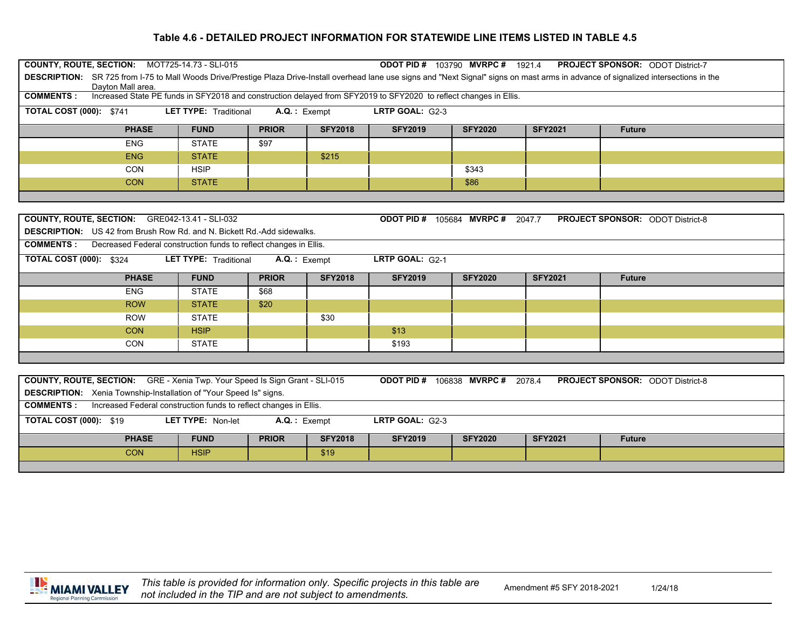| COUNTY, ROUTE, SECTION: MOT725-14.73 - SLI-015<br><b>ODOT PID # 103790 MVRPC # 1921.4</b><br><b>PROJECT SPONSOR: ODOT District-7</b><br>DESCRIPTION: SR 725 from I-75 to Mall Woods Drive/Prestige Plaza Drive-Install overhead lane use signs and "Next Signal" signs on mast arms in advance of signalized intersections in the |                                                                                                      |                 |                |                                         |                |                |                                         |  |  |  |
|-----------------------------------------------------------------------------------------------------------------------------------------------------------------------------------------------------------------------------------------------------------------------------------------------------------------------------------|------------------------------------------------------------------------------------------------------|-----------------|----------------|-----------------------------------------|----------------|----------------|-----------------------------------------|--|--|--|
| Davton Mall area.<br>Increased State PE funds in SFY2018 and construction delayed from SFY2019 to SFY2020 to reflect changes in Ellis.<br><b>COMMENTS:</b>                                                                                                                                                                        |                                                                                                      |                 |                |                                         |                |                |                                         |  |  |  |
| <b>TOTAL COST (000): \$741</b>                                                                                                                                                                                                                                                                                                    | <b>LET TYPE: Traditional</b>                                                                         | $A.Q.$ : Exempt |                | LRTP GOAL: G2-3                         |                |                |                                         |  |  |  |
|                                                                                                                                                                                                                                                                                                                                   |                                                                                                      |                 |                |                                         |                |                |                                         |  |  |  |
| <b>PHASE</b>                                                                                                                                                                                                                                                                                                                      | <b>FUND</b>                                                                                          | <b>PRIOR</b>    | <b>SFY2018</b> | <b>SFY2019</b>                          | <b>SFY2020</b> | <b>SFY2021</b> | <b>Future</b>                           |  |  |  |
| <b>ENG</b>                                                                                                                                                                                                                                                                                                                        | <b>STATE</b>                                                                                         | \$97            |                |                                         |                |                |                                         |  |  |  |
| <b>ENG</b>                                                                                                                                                                                                                                                                                                                        | <b>STATE</b>                                                                                         |                 | \$215          |                                         |                |                |                                         |  |  |  |
| <b>CON</b>                                                                                                                                                                                                                                                                                                                        | <b>HSIP</b>                                                                                          |                 |                |                                         | \$343          |                |                                         |  |  |  |
| <b>CON</b>                                                                                                                                                                                                                                                                                                                        | <b>STATE</b>                                                                                         |                 |                |                                         | \$86           |                |                                         |  |  |  |
|                                                                                                                                                                                                                                                                                                                                   |                                                                                                      |                 |                |                                         |                |                |                                         |  |  |  |
| COUNTY, ROUTE, SECTION: GRE042-13.41 - SLI-032                                                                                                                                                                                                                                                                                    |                                                                                                      |                 |                | <b>ODOT PID # 105684 MVRPC # 2047.7</b> |                |                | <b>PROJECT SPONSOR: ODOT District-8</b> |  |  |  |
| <b>DESCRIPTION:</b> US 42 from Brush Row Rd. and N. Bickett Rd.-Add sidewalks.                                                                                                                                                                                                                                                    |                                                                                                      |                 |                |                                         |                |                |                                         |  |  |  |
| <b>COMMENTS:</b> Decreased Federal construction funds to reflect changes in Ellis.                                                                                                                                                                                                                                                |                                                                                                      |                 |                |                                         |                |                |                                         |  |  |  |
|                                                                                                                                                                                                                                                                                                                                   |                                                                                                      |                 |                |                                         |                |                |                                         |  |  |  |
|                                                                                                                                                                                                                                                                                                                                   | <b>TOTAL COST (000): \$324</b><br>LRTP GOAL: G2-1<br><b>LET TYPE: Traditional</b><br>$A.Q.$ : Exempt |                 |                |                                         |                |                |                                         |  |  |  |
|                                                                                                                                                                                                                                                                                                                                   |                                                                                                      |                 |                |                                         |                |                |                                         |  |  |  |
| <b>PHASE</b>                                                                                                                                                                                                                                                                                                                      | <b>FUND</b>                                                                                          | <b>PRIOR</b>    | <b>SFY2018</b> | <b>SFY2019</b>                          | <b>SFY2020</b> | <b>SFY2021</b> | <b>Future</b>                           |  |  |  |
| <b>ENG</b>                                                                                                                                                                                                                                                                                                                        | <b>STATE</b>                                                                                         | \$68            |                |                                         |                |                |                                         |  |  |  |
| <b>ROW</b>                                                                                                                                                                                                                                                                                                                        | <b>STATE</b>                                                                                         | \$20            |                |                                         |                |                |                                         |  |  |  |
| <b>ROW</b>                                                                                                                                                                                                                                                                                                                        | <b>STATE</b>                                                                                         |                 | \$30           |                                         |                |                |                                         |  |  |  |
| <b>CON</b>                                                                                                                                                                                                                                                                                                                        | <b>HSIP</b>                                                                                          |                 |                | \$13                                    |                |                |                                         |  |  |  |
| CON                                                                                                                                                                                                                                                                                                                               | <b>STATE</b>                                                                                         |                 |                | \$193                                   |                |                |                                         |  |  |  |
|                                                                                                                                                                                                                                                                                                                                   |                                                                                                      |                 |                |                                         |                |                |                                         |  |  |  |
|                                                                                                                                                                                                                                                                                                                                   |                                                                                                      |                 |                |                                         |                |                |                                         |  |  |  |
| <b>COUNTY, ROUTE, SECTION:</b> GRE - Xenia Twp. Your Speed Is Sign Grant - SLI-015                                                                                                                                                                                                                                                |                                                                                                      |                 |                | <b>ODOT PID # 106838 MVRPC # 2078.4</b> |                |                | <b>PROJECT SPONSOR: ODOT District-8</b> |  |  |  |
| <b>DESCRIPTION:</b> Xenia Township-Installation of "Your Speed Is" signs.                                                                                                                                                                                                                                                         |                                                                                                      |                 |                |                                         |                |                |                                         |  |  |  |
| <b>COMMENTS:</b><br>Increased Federal construction funds to reflect changes in Ellis.                                                                                                                                                                                                                                             |                                                                                                      |                 |                |                                         |                |                |                                         |  |  |  |
| <b>TOTAL COST (000): \$19</b>                                                                                                                                                                                                                                                                                                     | LET TYPE: Non-let                                                                                    | A.Q.: Exempt    |                | LRTP GOAL: G2-3                         |                |                |                                         |  |  |  |
| <b>PHASE</b>                                                                                                                                                                                                                                                                                                                      | <b>FUND</b>                                                                                          | <b>PRIOR</b>    | <b>SFY2018</b> | <b>SFY2019</b>                          | <b>SFY2020</b> | <b>SFY2021</b> | <b>Future</b>                           |  |  |  |

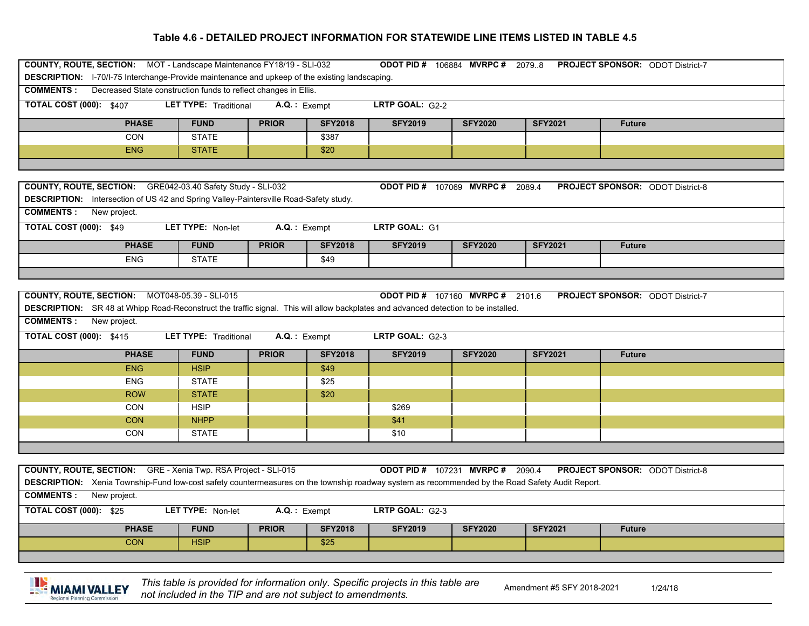| COUNTY, ROUTE, SECTION: MOT - Landscape Maintenance FY18/19 - SLI-032<br><b>ODOT PID # 106884 MVRPC # 20798</b><br><b>PROJECT SPONSOR: ODOT District-7</b>                                                                                                                  |                              |                 |                |                 |                                         |                |                                                                                                                               |  |  |  |  |  |  |  |  |  |
|-----------------------------------------------------------------------------------------------------------------------------------------------------------------------------------------------------------------------------------------------------------------------------|------------------------------|-----------------|----------------|-----------------|-----------------------------------------|----------------|-------------------------------------------------------------------------------------------------------------------------------|--|--|--|--|--|--|--|--|--|
| <b>DESCRIPTION:</b> 1-70/1-75 Interchange-Provide maintenance and upkeep of the existing landscaping.                                                                                                                                                                       |                              |                 |                |                 |                                         |                |                                                                                                                               |  |  |  |  |  |  |  |  |  |
| <b>COMMENTS:</b> Decreased State construction funds to reflect changes in Ellis.                                                                                                                                                                                            |                              |                 |                |                 |                                         |                |                                                                                                                               |  |  |  |  |  |  |  |  |  |
| <b>TOTAL COST (000): \$407</b>                                                                                                                                                                                                                                              | <b>LET TYPE: Traditional</b> |                 | $A.Q.:$ Exempt | LRTP GOAL: G2-2 |                                         |                |                                                                                                                               |  |  |  |  |  |  |  |  |  |
| <b>PHASE</b>                                                                                                                                                                                                                                                                | <b>FUND</b>                  | <b>PRIOR</b>    | <b>SFY2018</b> | <b>SFY2019</b>  | <b>SFY2020</b>                          | <b>SFY2021</b> | <b>Future</b>                                                                                                                 |  |  |  |  |  |  |  |  |  |
| <b>CON</b>                                                                                                                                                                                                                                                                  | <b>STATE</b>                 |                 | \$387          |                 |                                         |                |                                                                                                                               |  |  |  |  |  |  |  |  |  |
| <b>ENG</b>                                                                                                                                                                                                                                                                  | <b>STATE</b>                 |                 | \$20           |                 |                                         |                |                                                                                                                               |  |  |  |  |  |  |  |  |  |
|                                                                                                                                                                                                                                                                             |                              |                 |                |                 |                                         |                |                                                                                                                               |  |  |  |  |  |  |  |  |  |
| COUNTY, ROUTE, SECTION: GRE042-03.40 Safety Study - SLI-032<br><b>ODOT PID # 107069 MVRPC # 2089.4</b><br><b>PROJECT SPONSOR: ODOT District-8</b><br>DESCRIPTION: Intersection of US 42 and Spring Valley-Paintersville Road-Safety study.<br><b>COMMENTS:</b> New project. |                              |                 |                |                 |                                         |                |                                                                                                                               |  |  |  |  |  |  |  |  |  |
| <b>TOTAL COST (000): \$49</b><br>LET TYPE: Non-let<br>LRTP GOAL: G1<br>$A.Q.$ : Exempt                                                                                                                                                                                      |                              |                 |                |                 |                                         |                |                                                                                                                               |  |  |  |  |  |  |  |  |  |
| <b>PHASE</b>                                                                                                                                                                                                                                                                | <b>FUND</b>                  | <b>PRIOR</b>    | <b>SFY2018</b> | <b>SFY2019</b>  | <b>SFY2020</b>                          | <b>SFY2021</b> | <b>Future</b>                                                                                                                 |  |  |  |  |  |  |  |  |  |
| <b>ENG</b>                                                                                                                                                                                                                                                                  | <b>STATE</b>                 |                 | \$49           |                 |                                         |                |                                                                                                                               |  |  |  |  |  |  |  |  |  |
|                                                                                                                                                                                                                                                                             |                              |                 |                |                 |                                         |                |                                                                                                                               |  |  |  |  |  |  |  |  |  |
|                                                                                                                                                                                                                                                                             |                              |                 |                |                 |                                         |                |                                                                                                                               |  |  |  |  |  |  |  |  |  |
|                                                                                                                                                                                                                                                                             |                              |                 |                |                 |                                         |                | COUNTY, ROUTE, SECTION: MOT048-05.39 - SLI-015<br><b>ODOT PID # 107160 MVRPC # 2101.6</b><br>PROJECT SPONSOR: ODOT District-7 |  |  |  |  |  |  |  |  |  |
| DESCRIPTION: SR 48 at Whipp Road-Reconstruct the traffic signal. This will allow backplates and advanced detection to be installed.                                                                                                                                         |                              |                 |                |                 |                                         |                |                                                                                                                               |  |  |  |  |  |  |  |  |  |
| <b>COMMENTS:</b> New project.                                                                                                                                                                                                                                               |                              |                 |                |                 |                                         |                |                                                                                                                               |  |  |  |  |  |  |  |  |  |
| <b>TOTAL COST (000): \$415</b>                                                                                                                                                                                                                                              | <b>LET TYPE: Traditional</b> | A.Q.: Exempt    |                | LRTP GOAL: G2-3 |                                         |                |                                                                                                                               |  |  |  |  |  |  |  |  |  |
| <b>PHASE</b>                                                                                                                                                                                                                                                                | <b>FUND</b>                  | <b>PRIOR</b>    | <b>SFY2018</b> | <b>SFY2019</b>  | <b>SFY2020</b>                          | <b>SFY2021</b> | <b>Future</b>                                                                                                                 |  |  |  |  |  |  |  |  |  |
| <b>ENG</b>                                                                                                                                                                                                                                                                  | <b>HSIP</b>                  |                 | \$49           |                 |                                         |                |                                                                                                                               |  |  |  |  |  |  |  |  |  |
| <b>ENG</b>                                                                                                                                                                                                                                                                  | <b>STATE</b>                 |                 | \$25           |                 |                                         |                |                                                                                                                               |  |  |  |  |  |  |  |  |  |
| <b>ROW</b>                                                                                                                                                                                                                                                                  | <b>STATE</b>                 |                 | \$20           |                 |                                         |                |                                                                                                                               |  |  |  |  |  |  |  |  |  |
| <b>CON</b>                                                                                                                                                                                                                                                                  | <b>HSIP</b>                  |                 |                | \$269           |                                         |                |                                                                                                                               |  |  |  |  |  |  |  |  |  |
| <b>CON</b>                                                                                                                                                                                                                                                                  | <b>NHPP</b>                  |                 |                | \$41            |                                         |                |                                                                                                                               |  |  |  |  |  |  |  |  |  |
| <b>CON</b>                                                                                                                                                                                                                                                                  | <b>STATE</b>                 |                 |                | \$10            |                                         |                |                                                                                                                               |  |  |  |  |  |  |  |  |  |
|                                                                                                                                                                                                                                                                             |                              |                 |                |                 |                                         |                |                                                                                                                               |  |  |  |  |  |  |  |  |  |
|                                                                                                                                                                                                                                                                             |                              |                 |                |                 |                                         |                |                                                                                                                               |  |  |  |  |  |  |  |  |  |
| COUNTY, ROUTE, SECTION: GRE - Xenia Twp. RSA Project - SLI-015                                                                                                                                                                                                              |                              |                 |                |                 | <b>ODOT PID # 107231 MVRPC # 2090.4</b> |                | <b>PROJECT SPONSOR: ODOT District-8</b>                                                                                       |  |  |  |  |  |  |  |  |  |
| <b>DESCRIPTION:</b> Xenia Township-Fund low-cost safety countermeasures on the township roadway system as recommended by the Road Safety Audit Report.                                                                                                                      |                              |                 |                |                 |                                         |                |                                                                                                                               |  |  |  |  |  |  |  |  |  |
| <b>COMMENTS:</b> New project.                                                                                                                                                                                                                                               |                              |                 |                |                 |                                         |                |                                                                                                                               |  |  |  |  |  |  |  |  |  |
| <b>TOTAL COST (000): \$25</b>                                                                                                                                                                                                                                               | LET TYPE: Non-let            | $A.Q.$ : Exempt |                | LRTP GOAL: G2-3 |                                         |                |                                                                                                                               |  |  |  |  |  |  |  |  |  |
| <b>PHASE</b>                                                                                                                                                                                                                                                                | <b>FUND</b>                  | <b>PRIOR</b>    | <b>SFY2018</b> | <b>SFY2019</b>  | <b>SFY2020</b>                          | <b>SFY2021</b> | <b>Future</b>                                                                                                                 |  |  |  |  |  |  |  |  |  |
| <b>CON</b>                                                                                                                                                                                                                                                                  | <b>HSIP</b>                  |                 | \$25           |                 |                                         |                |                                                                                                                               |  |  |  |  |  |  |  |  |  |



This table is provided for information only. Specific projects in this table are **produced for a mendment #5 SFY 2018-2021**<br>not included in the TIP and are not subject to amendments.

1/24/18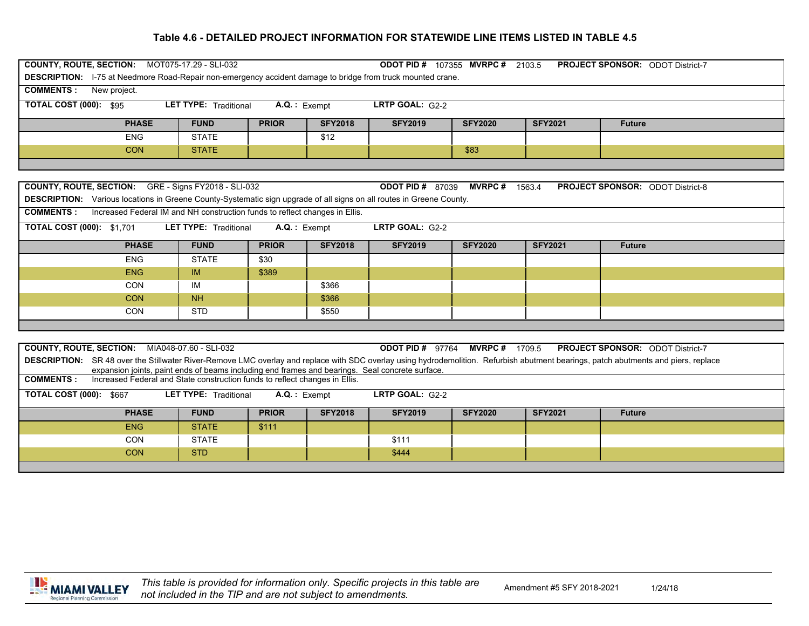| COUNTY, ROUTE, SECTION: MOT075-17.29 - SLI-032<br><b>ODOT PID#</b><br><b>PROJECT SPONSOR: ODOT District-7</b><br>107355 MVRPC#<br>2103.5 |              |                                                                             |                |                |                         |                |                |                                         |  |  |  |
|------------------------------------------------------------------------------------------------------------------------------------------|--------------|-----------------------------------------------------------------------------|----------------|----------------|-------------------------|----------------|----------------|-----------------------------------------|--|--|--|
| <b>DESCRIPTION:</b> 1-75 at Needmore Road-Repair non-emergency accident damage to bridge from truck mounted crane.                       |              |                                                                             |                |                |                         |                |                |                                         |  |  |  |
| <b>COMMENTS:</b><br>New project.                                                                                                         |              |                                                                             |                |                |                         |                |                |                                         |  |  |  |
| <b>TOTAL COST (000): \$95</b><br>LRTP GOAL: G2-2<br><b>LET TYPE: Traditional</b><br>$A.Q.$ : Exempt                                      |              |                                                                             |                |                |                         |                |                |                                         |  |  |  |
|                                                                                                                                          | <b>PHASE</b> | <b>FUND</b>                                                                 | <b>PRIOR</b>   | <b>SFY2018</b> | <b>SFY2019</b>          | <b>SFY2020</b> | <b>SFY2021</b> | <b>Future</b>                           |  |  |  |
|                                                                                                                                          | <b>ENG</b>   | <b>STATE</b>                                                                |                | \$12           |                         |                |                |                                         |  |  |  |
|                                                                                                                                          | <b>CON</b>   | <b>STATE</b>                                                                |                |                |                         | \$83           |                |                                         |  |  |  |
|                                                                                                                                          |              |                                                                             |                |                |                         |                |                |                                         |  |  |  |
|                                                                                                                                          |              |                                                                             |                |                |                         |                |                |                                         |  |  |  |
| <b>COUNTY, ROUTE, SECTION:</b> GRE - Signs FY2018 - SLI-032                                                                              |              |                                                                             |                |                | <b>ODOT PID # 87039</b> | <b>MVRPC#</b>  | 1563.4         | <b>PROJECT SPONSOR: ODOT District-8</b> |  |  |  |
| <b>DESCRIPTION:</b> Various locations in Greene County-Systematic sign upgrade of all signs on all routes in Greene County.              |              |                                                                             |                |                |                         |                |                |                                         |  |  |  |
| <b>COMMENTS:</b>                                                                                                                         |              | Increased Federal IM and NH construction funds to reflect changes in Ellis. |                |                |                         |                |                |                                         |  |  |  |
| <b>TOTAL COST (000): \$1,701</b>                                                                                                         |              | <b>LET TYPE: Traditional</b>                                                | $A.Q.:$ Exempt |                | LRTP GOAL: G2-2         |                |                |                                         |  |  |  |
|                                                                                                                                          | <b>PHASE</b> | <b>FUND</b>                                                                 | <b>PRIOR</b>   | <b>SFY2018</b> | <b>SFY2019</b>          | <b>SFY2020</b> | <b>SFY2021</b> | <b>Future</b>                           |  |  |  |
|                                                                                                                                          | <b>ENG</b>   | <b>STATE</b>                                                                | \$30           |                |                         |                |                |                                         |  |  |  |
|                                                                                                                                          | ENG          | IM                                                                          | \$389          |                |                         |                |                |                                         |  |  |  |
|                                                                                                                                          | <b>CON</b>   | IM                                                                          |                | \$366          |                         |                |                |                                         |  |  |  |
|                                                                                                                                          | <b>CON</b>   | <b>NH</b>                                                                   |                | \$366          |                         |                |                |                                         |  |  |  |
|                                                                                                                                          | <b>CON</b>   | <b>STD</b>                                                                  |                | \$550          |                         |                |                |                                         |  |  |  |
|                                                                                                                                          |              |                                                                             |                |                |                         |                |                |                                         |  |  |  |

| <b>COUNTY, ROUTE, SECTION: MIA048-07.60 - SLI-032</b>                                                                                                                                                                                                                                         |                     |              |                | <b>ODOT PID #</b><br>97764 | <b>MVRPC</b> # 1709.5 |                | <b>PROJECT SPONSOR: ODOT District-7</b> |  |  |  |  |
|-----------------------------------------------------------------------------------------------------------------------------------------------------------------------------------------------------------------------------------------------------------------------------------------------|---------------------|--------------|----------------|----------------------------|-----------------------|----------------|-----------------------------------------|--|--|--|--|
| <b>DESCRIPTION:</b> SR 48 over the Stillwater River-Remove LMC overlay and replace with SDC overlay using hydrodemolition. Refurbish abutment bearings, patch abutments and piers, replace<br>expansion joints, paint ends of beams including end frames and bearings. Seal concrete surface. |                     |              |                |                            |                       |                |                                         |  |  |  |  |
| Increased Federal and State construction funds to reflect changes in Ellis.<br><b>COMMENTS:</b>                                                                                                                                                                                               |                     |              |                |                            |                       |                |                                         |  |  |  |  |
|                                                                                                                                                                                                                                                                                               |                     |              |                |                            |                       |                |                                         |  |  |  |  |
| <b>TOTAL COST (000): \$667</b><br><b>LRTP GOAL: <math>G2-2</math></b><br><b>LET TYPE: Traditional</b><br>$A.Q.:$ Exempt                                                                                                                                                                       |                     |              |                |                            |                       |                |                                         |  |  |  |  |
|                                                                                                                                                                                                                                                                                               |                     |              |                |                            |                       |                |                                         |  |  |  |  |
| <b>PHASE</b>                                                                                                                                                                                                                                                                                  | <b>FUND</b>         | <b>PRIOR</b> | <b>SFY2018</b> | <b>SFY2019</b>             | <b>SFY2020</b>        | <b>SFY2021</b> | <b>Future</b>                           |  |  |  |  |
| ENG                                                                                                                                                                                                                                                                                           | <b>STATE</b>        | \$111        |                |                            |                       |                |                                         |  |  |  |  |
| <b>CON</b>                                                                                                                                                                                                                                                                                    | <b>STATE</b>        |              |                | \$111                      |                       |                |                                         |  |  |  |  |
| <b>CON</b>                                                                                                                                                                                                                                                                                    | <b>STD</b><br>\$444 |              |                |                            |                       |                |                                         |  |  |  |  |
|                                                                                                                                                                                                                                                                                               |                     |              |                |                            |                       |                |                                         |  |  |  |  |

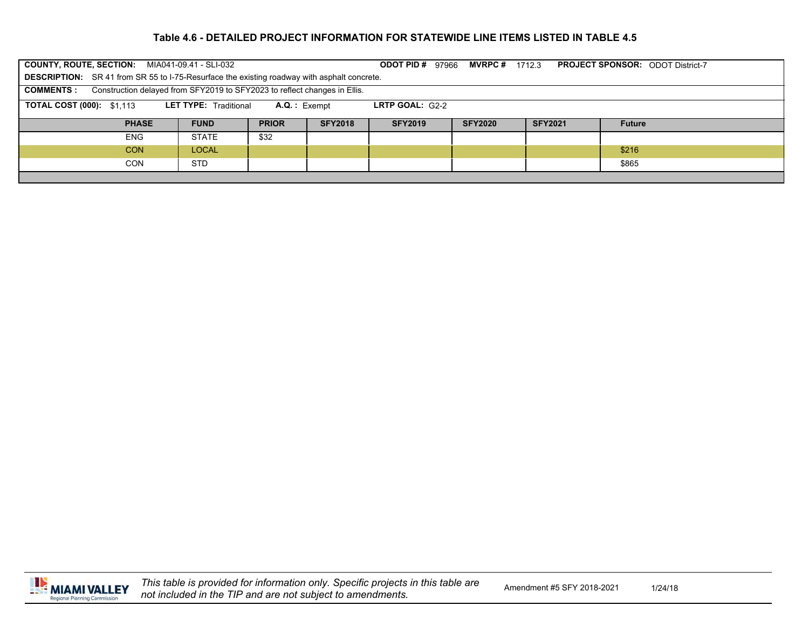| COUNTY, ROUTE, SECTION: MIA041-09.41 - SLI-032                                                                            |              |              |                | <b>ODOT PID #</b><br>97966 | <b>MVRPC</b> # $1712.3$ |                |               | <b>PROJECT SPONSOR: ODOT District-7</b> |  |  |
|---------------------------------------------------------------------------------------------------------------------------|--------------|--------------|----------------|----------------------------|-------------------------|----------------|---------------|-----------------------------------------|--|--|
| <b>DESCRIPTION:</b> SR 41 from SR 55 to I-75-Resurface the existing roadway with asphalt concrete.                        |              |              |                |                            |                         |                |               |                                         |  |  |
| Construction delayed from SFY2019 to SFY2023 to reflect changes in Ellis.<br><b>COMMENTS:</b>                             |              |              |                |                            |                         |                |               |                                         |  |  |
| <b>TOTAL COST (000): \$1,113</b><br><b>LRTP GOAL: <math>G2-2</math></b><br><b>LET TYPE:</b> Traditional<br>$A.Q.:$ Exempt |              |              |                |                            |                         |                |               |                                         |  |  |
| <b>PHASE</b>                                                                                                              | <b>FUND</b>  | <b>PRIOR</b> | <b>SFY2018</b> | <b>SFY2019</b>             | <b>SFY2020</b>          | <b>SFY2021</b> | <b>Future</b> |                                         |  |  |
|                                                                                                                           |              |              |                |                            |                         |                |               |                                         |  |  |
| <b>ENG</b>                                                                                                                | <b>STATE</b> | \$32         |                |                            |                         |                |               |                                         |  |  |
| <b>CON</b>                                                                                                                | <b>LOCAL</b> |              |                |                            |                         |                | \$216         |                                         |  |  |
| <b>CON</b>                                                                                                                | <b>STD</b>   |              |                |                            |                         |                | \$865         |                                         |  |  |
|                                                                                                                           |              |              |                |                            |                         |                |               |                                         |  |  |